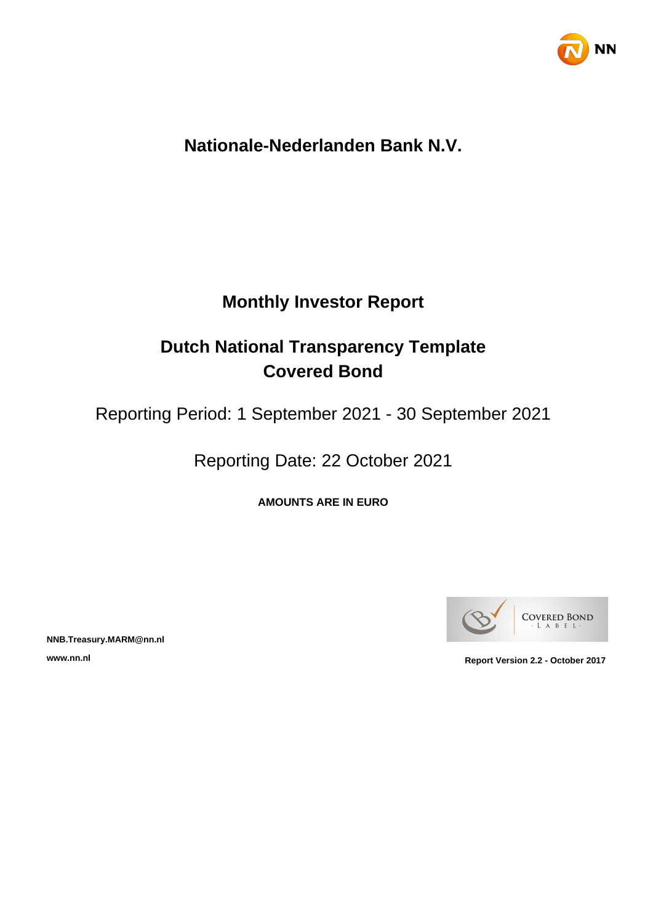

# **Nationale-Nederlanden Bank N.V.**

# **Monthly Investor Report**

# **Dutch National Transparency Template Covered Bond**

Reporting Period: 1 September 2021 - 30 September 2021

Reporting Date: 22 October 2021

**AMOUNTS ARE IN EURO**



**NNB.Treasury.MARM@nn.nl**

**www.nn.nl Report Version 2.2 - October 2017**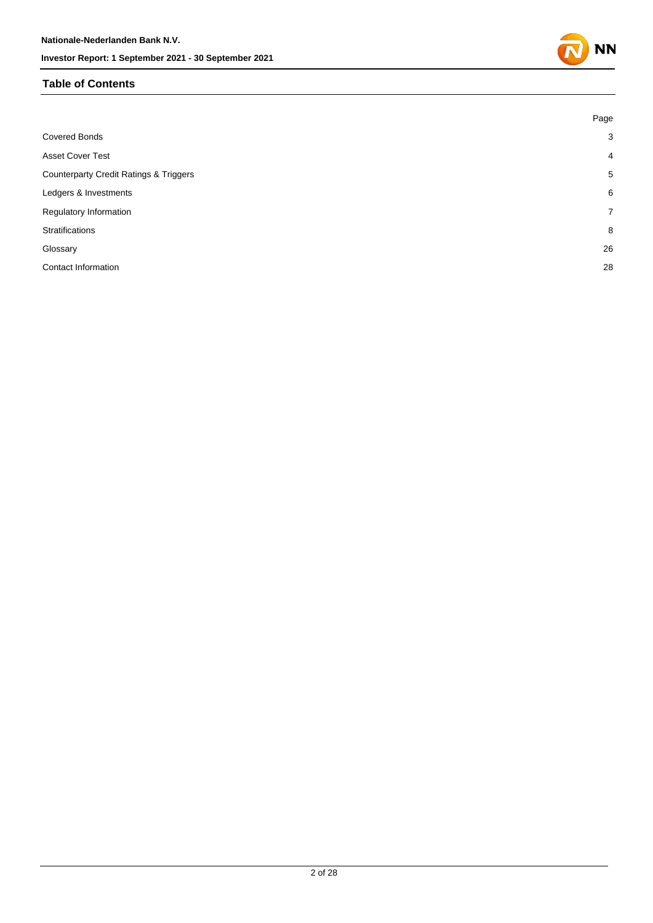## **Table of Contents**

|                                                   | Page           |
|---------------------------------------------------|----------------|
| <b>Covered Bonds</b>                              | 3              |
| <b>Asset Cover Test</b>                           | $\overline{4}$ |
| <b>Counterparty Credit Ratings &amp; Triggers</b> | 5              |
| Ledgers & Investments                             | 6              |
| Regulatory Information                            | $\overline{7}$ |
| Stratifications                                   | 8              |
| Glossary                                          | 26             |
| <b>Contact Information</b>                        | 28             |
|                                                   |                |

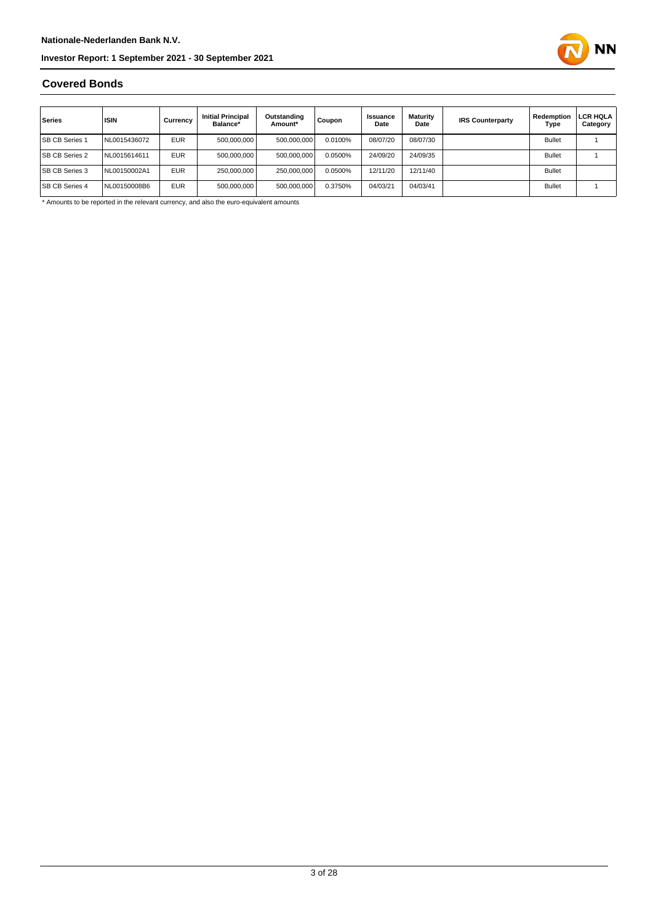

### **Covered Bonds**

| Series                | <b>ISIN</b>  | Currency   | <b>Initial Principal</b><br>Balance* | Outstanding<br>Amount* | Coupon  | Issuance<br>Date | Maturity<br>Date | <b>IRS Counterparty</b> | Redemption<br>Type | LCR HQLA<br>Category |
|-----------------------|--------------|------------|--------------------------------------|------------------------|---------|------------------|------------------|-------------------------|--------------------|----------------------|
| <b>SB CB Series 1</b> | NL0015436072 | <b>EUR</b> | 500,000,000                          | 500,000,000            | 0.0100% | 08/07/20         | 08/07/30         |                         | <b>Bullet</b>      |                      |
| <b>SB CB Series 2</b> | NL0015614611 | <b>EUR</b> | 500.000.000                          | 500,000,000            | 0.0500% | 24/09/20         | 24/09/35         |                         | <b>Bullet</b>      |                      |
| <b>SB CB Series 3</b> | NL00150002A1 | <b>EUR</b> | 250,000,000                          | 250.000.000            | 0.0500% | 12/11/20         | 12/11/40         |                         | <b>Bullet</b>      |                      |
| <b>SB CB Series 4</b> | NL00150008B6 | <b>EUR</b> | 500,000,000                          | 500,000,000            | 0.3750% | 04/03/21         | 04/03/41         |                         | <b>Bullet</b>      |                      |

\* Amounts to be reported in the relevant currency, and also the euro-equivalent amounts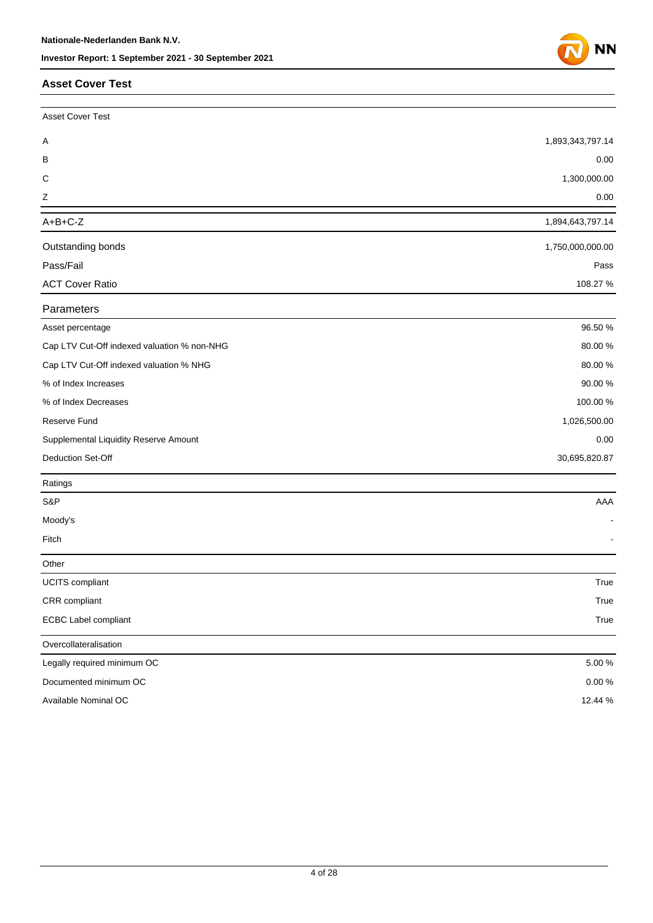#### **Asset C**

| <b>Asset Cover Test</b>                     |                  |
|---------------------------------------------|------------------|
| <b>Asset Cover Test</b>                     |                  |
| Α                                           | 1,893,343,797.14 |
| B                                           | 0.00             |
| C                                           | 1,300,000.00     |
| Ζ                                           | 0.00             |
| $A+B+C-Z$                                   | 1,894,643,797.14 |
| Outstanding bonds                           | 1,750,000,000.00 |
| Pass/Fail                                   | Pass             |
| <b>ACT Cover Ratio</b>                      | 108.27 %         |
| Parameters                                  |                  |
| Asset percentage                            | 96.50 %          |
| Cap LTV Cut-Off indexed valuation % non-NHG | 80.00%           |
| Cap LTV Cut-Off indexed valuation % NHG     | 80.00%           |
| % of Index Increases                        | 90.00%           |
| % of Index Decreases                        | 100.00 %         |
| Reserve Fund                                | 1,026,500.00     |
| Supplemental Liquidity Reserve Amount       | 0.00             |
| Deduction Set-Off                           | 30,695,820.87    |
| Ratings                                     |                  |
| S&P                                         | AAA              |
| Moody's                                     |                  |
| Fitch                                       |                  |
| Other                                       |                  |
| UCITS compliant                             | True             |
| CRR compliant                               | True             |
| <b>ECBC Label compliant</b>                 | True             |
| Overcollateralisation                       |                  |
| Legally required minimum OC                 | 5.00 %           |
| Documented minimum OC                       | $0.00\,\%$       |
| Available Nominal OC                        | 12.44 %          |

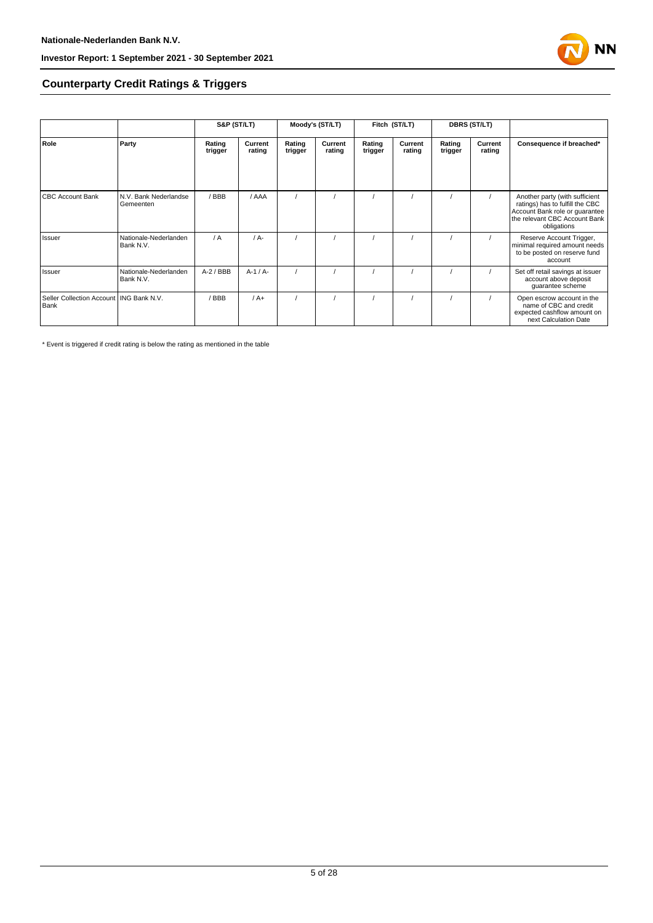

## **Counterparty Credit Ratings & Triggers**

|                                                   |                                    | S&P (ST/LT)       |                   | Moody's (ST/LT)   |                   | Fitch (ST/LT)     |                   | <b>DBRS (ST/LT)</b> |                   |                                                                                                                                                     |  |
|---------------------------------------------------|------------------------------------|-------------------|-------------------|-------------------|-------------------|-------------------|-------------------|---------------------|-------------------|-----------------------------------------------------------------------------------------------------------------------------------------------------|--|
| Role                                              | Party                              | Rating<br>trigger | Current<br>rating | Rating<br>trigger | Current<br>rating | Rating<br>trigger | Current<br>rating | Rating<br>trigger   | Current<br>rating | Consequence if breached*                                                                                                                            |  |
| <b>CBC Account Bank</b>                           | N.V. Bank Nederlandse<br>Gemeenten | /BBB              | / AAA             |                   |                   |                   |                   |                     |                   | Another party (with sufficient<br>ratings) has to fulfill the CBC<br>Account Bank role or guarantee<br>the relevant CBC Account Bank<br>obligations |  |
| Issuer                                            | Nationale-Nederlanden<br>Bank N.V. | $\sqrt{A}$        | $/A$ -            |                   |                   |                   |                   |                     |                   | Reserve Account Trigger,<br>minimal required amount needs<br>to be posted on reserve fund<br>account                                                |  |
| Issuer                                            | Nationale-Nederlanden<br>Bank N.V. | $A-2$ / BBB       | $A-1/A-$          |                   |                   |                   |                   |                     |                   | Set off retail savings at issuer<br>account above deposit<br>quarantee scheme                                                                       |  |
| Seller Collection Account   ING Bank N.V.<br>Bank |                                    | BBB               | $/A+$             |                   |                   |                   |                   |                     |                   | Open escrow account in the<br>name of CBC and credit<br>expected cashflow amount on<br>next Calculation Date                                        |  |

\* Event is triggered if credit rating is below the rating as mentioned in the table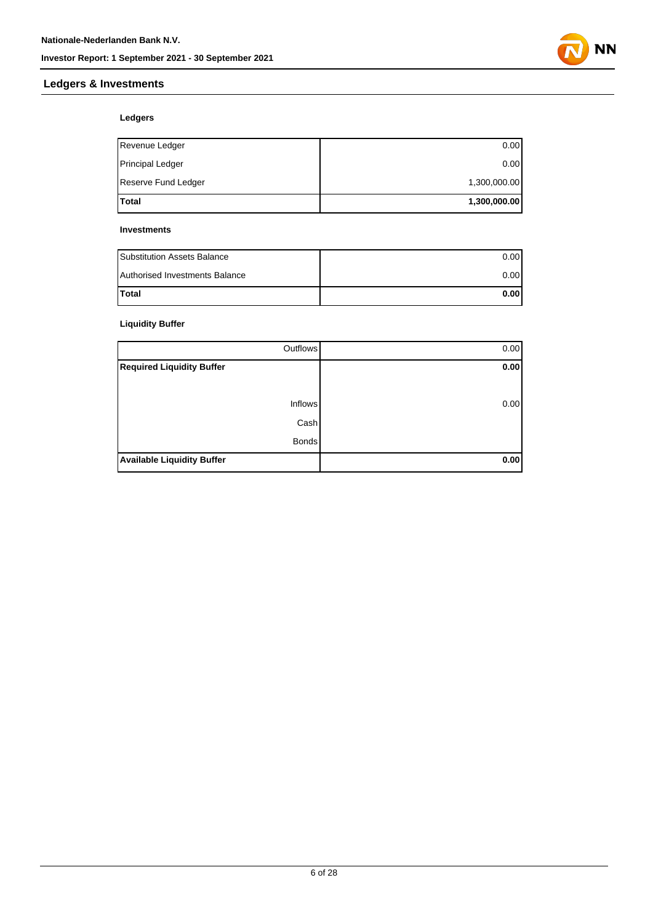

## **Ledgers & Investments**

### **Ledgers**

| Total                   | 1,300,000.00 |
|-------------------------|--------------|
| Reserve Fund Ledger     | 1,300,000.00 |
| <b>Principal Ledger</b> | 0.00         |
| Revenue Ledger          | 0.00         |

#### **Investments**

| <b>Substitution Assets Balance</b> | 0.001 |
|------------------------------------|-------|
| Authorised Investments Balance     | 0.001 |
| <b>Total</b>                       | 0.001 |

## **Liquidity Buffer**

| Outflows                          | 0.00 |
|-----------------------------------|------|
| <b>Required Liquidity Buffer</b>  | 0.00 |
|                                   |      |
| <b>Inflows</b>                    | 0.00 |
| Cash                              |      |
| <b>Bonds</b>                      |      |
| <b>Available Liquidity Buffer</b> | 0.00 |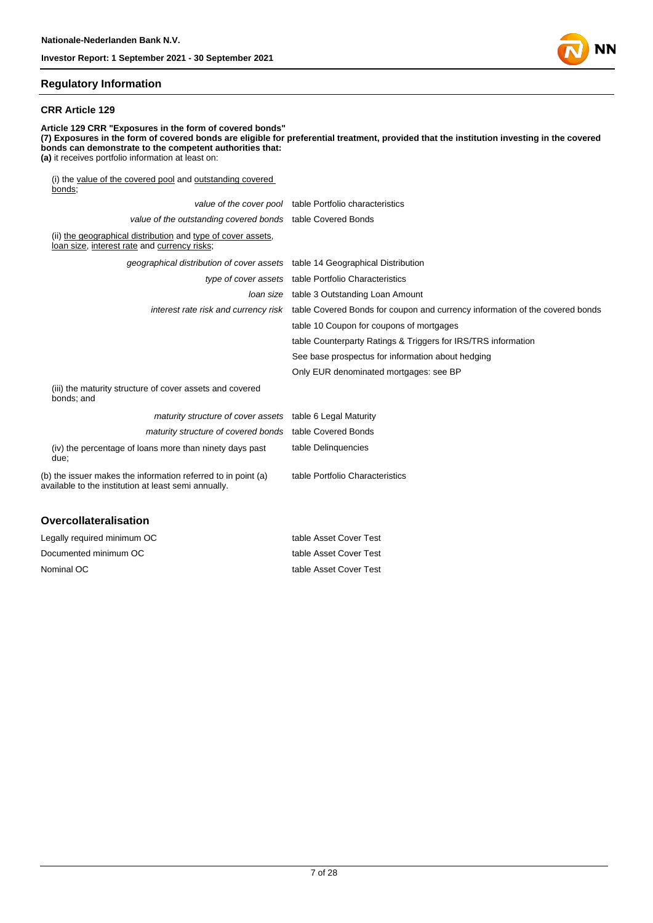

#### **Regulatory Information**

#### **CRR Article 129**

**Article 129 CRR "Exposures in the form of covered bonds" (7) Exposures in the form of covered bonds are eligible for preferential treatment, provided that the institution investing in the covered bonds can demonstrate to the competent authorities that: (a)** it receives portfolio information at least on: (i) the value of the covered pool and outstanding covered bonds; value of the cover pool table Portfolio characteristics value of the outstanding covered bonds table Covered Bonds (ii) the geographical distribution and type of cover assets, loan size, interest rate and currency risks; geographical distribution of cover assets table 14 Geographical Distribution type of cover assets table Portfolio Characteristics loan size table 3 Outstanding Loan Amount interest rate risk and currency risk table Covered Bonds for coupon and currency information of the covered bonds table 10 Coupon for coupons of mortgages table Counterparty Ratings & Triggers for IRS/TRS information See base prospectus for information about hedging Only EUR denominated mortgages: see BP (iii) the maturity structure of cover assets and covered bonds; and

| maturity structure of cover assets table 6 Legal Maturity                                                             |                                 |
|-----------------------------------------------------------------------------------------------------------------------|---------------------------------|
| maturity structure of covered bonds table Covered Bonds                                                               |                                 |
| (iv) the percentage of loans more than ninety days past<br>due;                                                       | table Delinguencies             |
| (b) the issuer makes the information referred to in point (a)<br>available to the institution at least semi annually. | table Portfolio Characteristics |
|                                                                                                                       |                                 |

#### **Overcollateralisation**

| Legally required minimum OC | table Asset Cover Test |
|-----------------------------|------------------------|
| Documented minimum OC       | table Asset Cover Test |
| Nominal OC                  | table Asset Cover Test |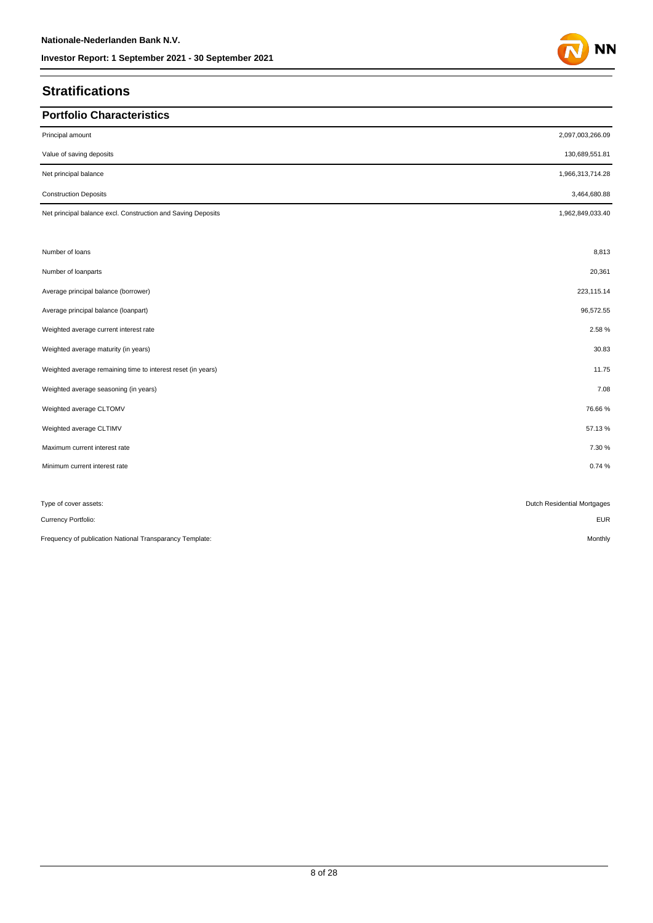# **Stratifications**

| <b>Portfolio Characteristics</b>                             |                             |
|--------------------------------------------------------------|-----------------------------|
|                                                              |                             |
| Principal amount                                             | 2,097,003,266.09            |
| Value of saving deposits                                     | 130,689,551.81              |
| Net principal balance                                        | 1,966,313,714.28            |
| <b>Construction Deposits</b>                                 | 3,464,680.88                |
| Net principal balance excl. Construction and Saving Deposits | 1,962,849,033.40            |
|                                                              |                             |
| Number of loans                                              | 8,813                       |
| Number of loanparts                                          | 20,361                      |
| Average principal balance (borrower)                         | 223,115.14                  |
| Average principal balance (loanpart)                         | 96,572.55                   |
| Weighted average current interest rate                       | 2.58%                       |
| Weighted average maturity (in years)                         | 30.83                       |
| Weighted average remaining time to interest reset (in years) | 11.75                       |
| Weighted average seasoning (in years)                        | 7.08                        |
| Weighted average CLTOMV                                      | 76.66%                      |
| Weighted average CLTIMV                                      | 57.13%                      |
| Maximum current interest rate                                | 7.30 %                      |
| Minimum current interest rate                                | 0.74%                       |
|                                                              |                             |
| Type of cover assets:                                        | Dutch Residential Mortgages |
| Currency Portfolio:                                          | <b>EUR</b>                  |
| Frequency of publication National Transparancy Template:     | Monthly                     |

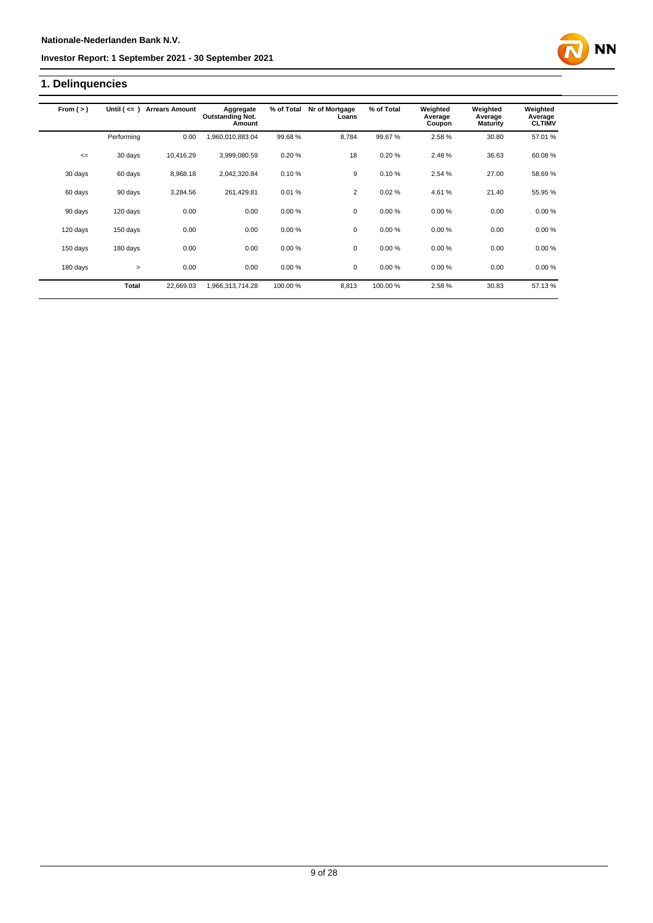# **1. Delinquencies**

| From $(>)$ | Until $($ <= $)$ | <b>Arrears Amount</b> | Aggregate<br><b>Outstanding Not.</b><br>Amount | % of Total | Nr of Mortgage<br>Loans | % of Total | Weighted<br>Average<br>Coupon | Weighted<br>Average<br><b>Maturity</b> | Weighted<br>Average<br><b>CLTIMV</b> |
|------------|------------------|-----------------------|------------------------------------------------|------------|-------------------------|------------|-------------------------------|----------------------------------------|--------------------------------------|
|            | Performing       | 0.00                  | ,960,010,883.04                                | 99.68%     | 8,784                   | 99.67%     | 2.58%                         | 30.80                                  | 57.01 %                              |
| $\leq$     | 30 days          | 10,416.29             | 3,999,080.59                                   | 0.20%      | 18                      | 0.20%      | 2.48%                         | 36.63                                  | 60.08%                               |
| 30 days    | 60 days          | 8,968.18              | 2,042,320.84                                   | 0.10%      | 9                       | 0.10%      | 2.54 %                        | 27.00                                  | 58.69%                               |
| 60 days    | 90 days          | 3,284.56              | 261,429.81                                     | 0.01%      | $\overline{2}$          | 0.02%      | 4.61%                         | 21.40                                  | 55.95 %                              |
| 90 days    | 120 days         | 0.00                  | 0.00                                           | 0.00%      | 0                       | 0.00%      | 0.00%                         | 0.00                                   | 0.00%                                |
| 120 days   | 150 days         | 0.00                  | 0.00                                           | 0.00%      | $\mathbf 0$             | 0.00%      | 0.00%                         | 0.00                                   | 0.00%                                |
| 150 days   | 180 days         | 0.00                  | 0.00                                           | 0.00%      | 0                       | 0.00%      | 0.00%                         | 0.00                                   | 0.00%                                |
| 180 days   | $\geq$           | 0.00                  | 0.00                                           | 0.00%      | 0                       | 0.00%      | 0.00%                         | 0.00                                   | 0.00%                                |
|            | <b>Total</b>     | 22,669.03             | .966,313,714.28                                | 100.00 %   | 8,813                   | 100.00%    | 2.58%                         | 30.83                                  | 57.13%                               |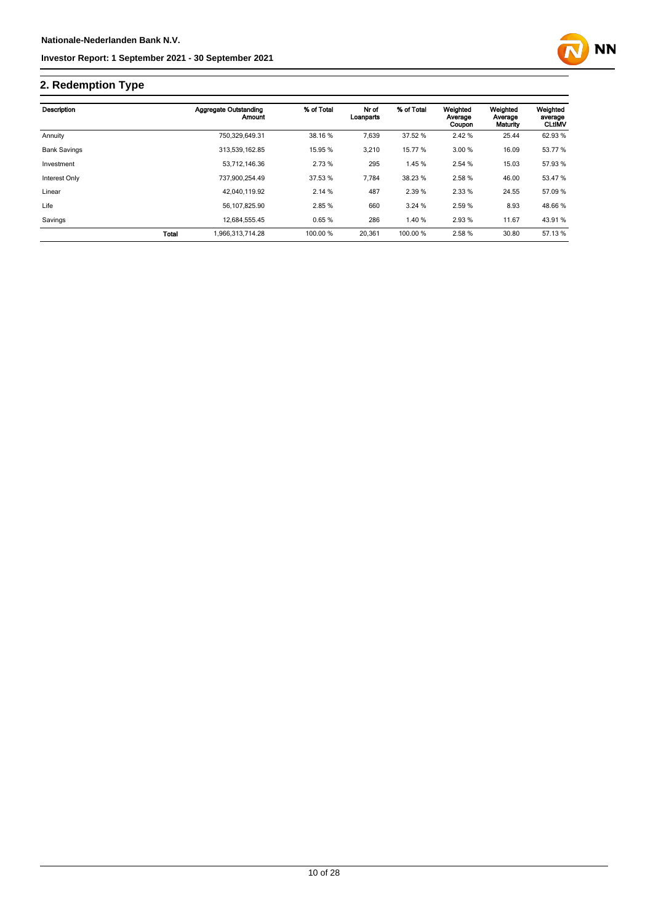

# **2. Redemption Type**

| Description         |       | <b>Aggregate Outstanding</b><br>Amount | % of Total | Nr of<br>Loanparts | % of Total | Weighted<br>Average<br>Coupon | Weighted<br>Average<br>Maturity | Weighted<br>average<br><b>CLtIMV</b> |
|---------------------|-------|----------------------------------------|------------|--------------------|------------|-------------------------------|---------------------------------|--------------------------------------|
| Annuity             |       | 750.329.649.31                         | 38.16 %    | 7.639              | 37.52 %    | 2.42 %                        | 25.44                           | 62.93 %                              |
| <b>Bank Savings</b> |       | 313,539,162.85                         | 15.95 %    | 3,210              | 15.77 %    | 3.00 %                        | 16.09                           | 53.77 %                              |
| Investment          |       | 53.712.146.36                          | 2.73 %     | 295                | 1.45 %     | 2.54 %                        | 15.03                           | 57.93 %                              |
| Interest Only       |       | 737.900.254.49                         | 37.53 %    | 7.784              | 38.23 %    | 2.58%                         | 46.00                           | 53.47 %                              |
| Linear              |       | 42.040.119.92                          | 2.14%      | 487                | 2.39 %     | 2.33 %                        | 24.55                           | 57.09 %                              |
| Life                |       | 56.107.825.90                          | 2.85 %     | 660                | 3.24%      | 2.59 %                        | 8.93                            | 48.66 %                              |
| Savings             |       | 12,684,555.45                          | 0.65%      | 286                | 1.40 %     | 2.93%                         | 11.67                           | 43.91 %                              |
|                     | Total | 1.966.313.714.28                       | 100.00 %   | 20,361             | 100.00 %   | 2.58%                         | 30.80                           | 57.13 %                              |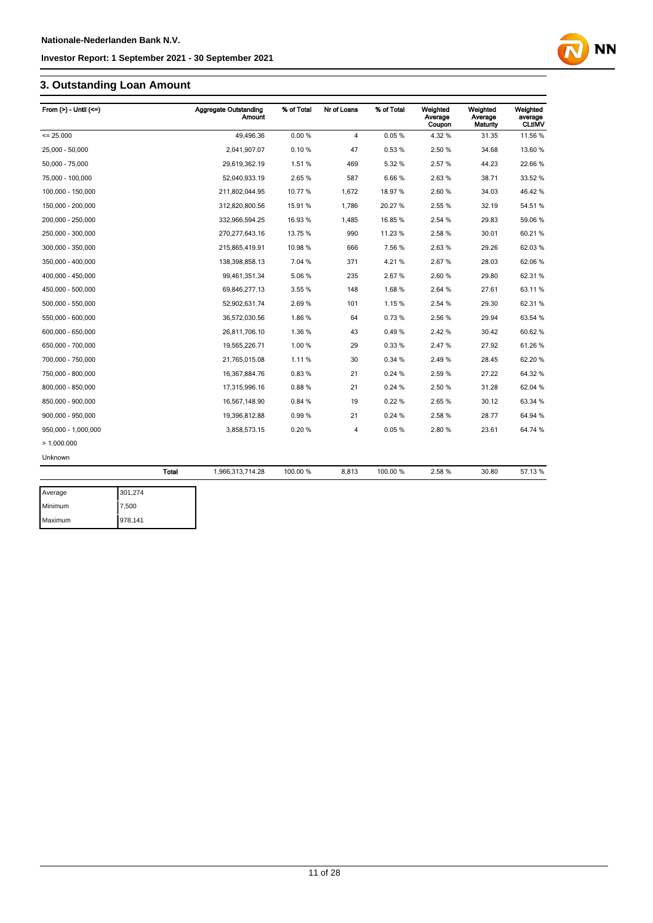# **3. Outstanding Loan Amount**

| From $(>)$ - Until $(<=)$ |              | <b>Aggregate Outstanding</b><br>Amount | % of Total | Nr of Loans    | % of Total | Weighted<br>Average<br>Coupon | Weighted<br>Average<br>Maturity | Weighted<br>average<br><b>CLtIMV</b> |
|---------------------------|--------------|----------------------------------------|------------|----------------|------------|-------------------------------|---------------------------------|--------------------------------------|
| $= 25.000$                |              | 49,496.36                              | 0.00%      | $\overline{4}$ | 0.05%      | 4.32%                         | 31.35                           | 11.56 %                              |
| 25.000 - 50.000           |              | 2.041.907.07                           | 0.10%      | 47             | 0.53%      | 2.50%                         | 34.68                           | 13.60 %                              |
| 50,000 - 75,000           |              | 29,619,362.19                          | 1.51%      | 469            | 5.32 %     | 2.57%                         | 44.23                           | 22.66 %                              |
| 75,000 - 100,000          |              | 52,040,933.19                          | 2.65%      | 587            | 6.66%      | 2.63%                         | 38.71                           | 33.52 %                              |
| 100,000 - 150,000         |              | 211,802,044.95                         | 10.77 %    | 1,672          | 18.97%     | 2.60%                         | 34.03                           | 46.42%                               |
| 150,000 - 200,000         |              | 312,820,800.56                         | 15.91 %    | 1,786          | 20.27%     | 2.55%                         | 32.19                           | 54.51 %                              |
| 200,000 - 250,000         |              | 332,966,594.25                         | 16.93 %    | 1,485          | 16.85%     | 2.54 %                        | 29.83                           | 59.06 %                              |
| 250,000 - 300,000         |              | 270,277,643.16                         | 13.75 %    | 990            | 11.23 %    | 2.58%                         | 30.01                           | 60.21%                               |
| 300,000 - 350,000         |              | 215,865,419.91                         | 10.98 %    | 666            | 7.56%      | 2.63%                         | 29.26                           | 62.03%                               |
| 350,000 - 400,000         |              | 138,398,858.13                         | 7.04 %     | 371            | 4.21%      | 2.67%                         | 28.03                           | 62.06 %                              |
| 400.000 - 450.000         |              | 99,461,351.34                          | 5.06%      | 235            | 2.67%      | 2.60%                         | 29.80                           | 62.31 %                              |
| 450,000 - 500,000         |              | 69,846,277.13                          | 3.55 %     | 148            | 1.68%      | 2.64 %                        | 27.61                           | 63.11 %                              |
| 500,000 - 550,000         |              | 52,902,631.74                          | 2.69%      | 101            | 1.15%      | 2.54 %                        | 29.30                           | 62.31 %                              |
| 550,000 - 600,000         |              | 36,572,030.56                          | 1.86%      | 64             | 0.73%      | 2.56%                         | 29.94                           | 63.54 %                              |
| 600,000 - 650,000         |              | 26,811,706.10                          | 1.36 %     | 43             | 0.49%      | 2.42%                         | 30.42                           | 60.62 %                              |
| 650,000 - 700,000         |              | 19,565,226.71                          | 1.00%      | 29             | 0.33%      | 2.47%                         | 27.92                           | 61.26%                               |
| 700,000 - 750,000         |              | 21,765,015.08                          | 1.11%      | 30             | 0.34%      | 2.49%                         | 28.45                           | 62.20%                               |
| 750,000 - 800,000         |              | 16,367,884.76                          | 0.83%      | 21             | 0.24%      | 2.59%                         | 27.22                           | 64.32 %                              |
| 800,000 - 850,000         |              | 17,315,996.16                          | 0.88%      | 21             | 0.24%      | 2.50%                         | 31.28                           | 62.04 %                              |
| 850,000 - 900,000         |              | 16,567,148.90                          | 0.84 %     | 19             | 0.22%      | 2.65%                         | 30.12                           | 63.34 %                              |
| 900,000 - 950,000         |              | 19,396,812.88                          | 0.99%      | 21             | 0.24%      | 2.58%                         | 28.77                           | 64.94 %                              |
| 950,000 - 1,000,000       |              | 3,858,573.15                           | 0.20%      | 4              | 0.05%      | 2.80%                         | 23.61                           | 64.74 %                              |
| >1.000.000                |              |                                        |            |                |            |                               |                                 |                                      |
| Unknown                   |              |                                        |            |                |            |                               |                                 |                                      |
|                           | <b>Total</b> | 1,966,313,714.28                       | 100.00 %   | 8,813          | 100.00 %   | 2.58%                         | 30.80                           | 57.13%                               |
| Average                   | 301,274      |                                        |            |                |            |                               |                                 |                                      |

| Average | 301.274 |
|---------|---------|
| Minimum | 7,500   |
| Maximum | 978,141 |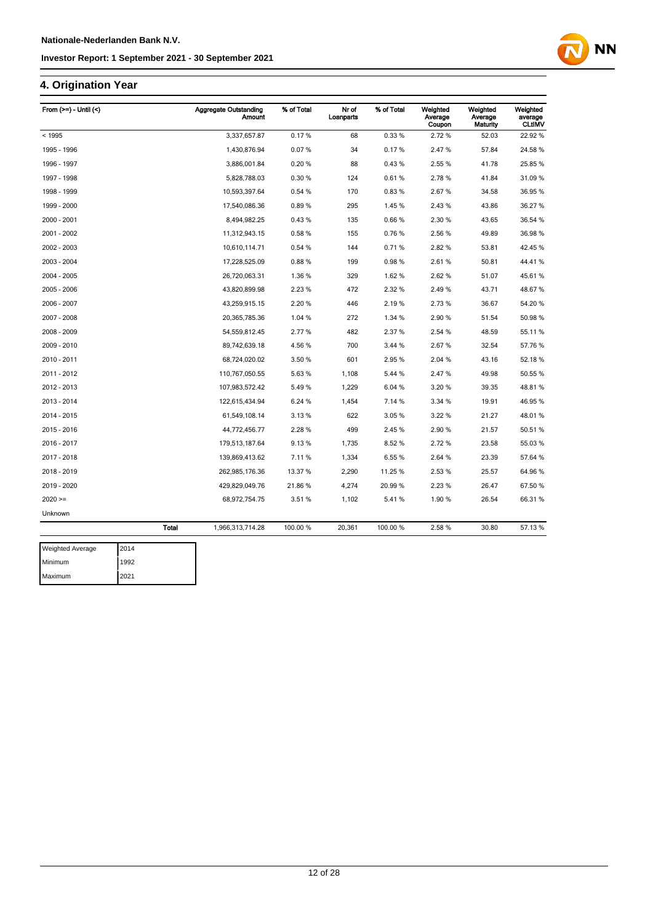# **4. Origination Year**

| From $(>=)$ - Until $($ |              | <b>Aggregate Outstanding</b><br><b>Amount</b> | % of Total | Nr of<br>Loanparts | % of Total | Weighted<br>Average<br>Coupon | Weighted<br>Average<br>Maturity | Weighted<br>average<br><b>CLtIMV</b> |
|-------------------------|--------------|-----------------------------------------------|------------|--------------------|------------|-------------------------------|---------------------------------|--------------------------------------|
| < 1995                  |              | 3,337,657.87                                  | 0.17%      | 68                 | 0.33%      | 2.72%                         | 52.03                           | 22.92 %                              |
| 1995 - 1996             |              | 1,430,876.94                                  | 0.07%      | 34                 | 0.17%      | 2.47%                         | 57.84                           | 24.58%                               |
| 1996 - 1997             |              | 3,886,001.84                                  | 0.20%      | 88                 | 0.43%      | 2.55 %                        | 41.78                           | 25.85 %                              |
| 1997 - 1998             |              | 5,828,788.03                                  | 0.30%      | 124                | 0.61%      | 2.78%                         | 41.84                           | 31.09%                               |
| 1998 - 1999             |              | 10,593,397.64                                 | 0.54 %     | 170                | 0.83%      | 2.67%                         | 34.58                           | 36.95 %                              |
| 1999 - 2000             |              | 17,540,086.36                                 | 0.89%      | 295                | 1.45%      | 2.43%                         | 43.86                           | 36.27 %                              |
| 2000 - 2001             |              | 8,494,982.25                                  | 0.43%      | 135                | 0.66%      | 2.30%                         | 43.65                           | 36.54 %                              |
| 2001 - 2002             |              | 11,312,943.15                                 | 0.58%      | 155                | 0.76%      | 2.56 %                        | 49.89                           | 36.98 %                              |
| 2002 - 2003             |              | 10,610,114.71                                 | 0.54 %     | 144                | 0.71%      | 2.82%                         | 53.81                           | 42.45 %                              |
| 2003 - 2004             |              | 17,228,525.09                                 | 0.88%      | 199                | 0.98%      | 2.61%                         | 50.81                           | 44.41%                               |
| 2004 - 2005             |              | 26,720,063.31                                 | 1.36 %     | 329                | 1.62%      | 2.62%                         | 51.07                           | 45.61%                               |
| 2005 - 2006             |              | 43,820,899.98                                 | 2.23%      | 472                | 2.32%      | 2.49%                         | 43.71                           | 48.67%                               |
| 2006 - 2007             |              | 43,259,915.15                                 | 2.20%      | 446                | 2.19%      | 2.73 %                        | 36.67                           | 54.20%                               |
| 2007 - 2008             |              | 20,365,785.36                                 | 1.04 %     | 272                | 1.34 %     | 2.90%                         | 51.54                           | 50.98%                               |
| 2008 - 2009             |              | 54,559,812.45                                 | 2.77 %     | 482                | 2.37%      | 2.54 %                        | 48.59                           | 55.11 %                              |
| 2009 - 2010             |              | 89,742,639.18                                 | 4.56%      | 700                | 3.44 %     | 2.67%                         | 32.54                           | 57.76 %                              |
| 2010 - 2011             |              | 68,724,020.02                                 | 3.50 %     | 601                | 2.95%      | 2.04 %                        | 43.16                           | 52.18%                               |
| 2011 - 2012             |              | 110,767,050.55                                | 5.63%      | 1,108              | 5.44 %     | 2.47 %                        | 49.98                           | 50.55 %                              |
| 2012 - 2013             |              | 107,983,572.42                                | 5.49%      | 1,229              | 6.04 %     | 3.20%                         | 39.35                           | 48.81%                               |
| 2013 - 2014             |              | 122,615,434.94                                | 6.24 %     | 1,454              | 7.14 %     | 3.34 %                        | 19.91                           | 46.95%                               |
| 2014 - 2015             |              | 61,549,108.14                                 | 3.13%      | 622                | 3.05%      | 3.22 %                        | 21.27                           | 48.01%                               |
| 2015 - 2016             |              | 44,772,456.77                                 | 2.28%      | 499                | 2.45%      | 2.90%                         | 21.57                           | 50.51%                               |
| 2016 - 2017             |              | 179,513,187.64                                | 9.13%      | 1,735              | 8.52%      | 2.72 %                        | 23.58                           | 55.03%                               |
| 2017 - 2018             |              | 139,869,413.62                                | 7.11%      | 1,334              | 6.55%      | 2.64 %                        | 23.39                           | 57.64 %                              |
| 2018 - 2019             |              | 262,985,176.36                                | 13.37 %    | 2,290              | 11.25%     | 2.53%                         | 25.57                           | 64.96%                               |
| 2019 - 2020             |              | 429,829,049.76                                | 21.86%     | 4,274              | 20.99%     | 2.23 %                        | 26.47                           | 67.50 %                              |
| $2020 =$                |              | 68,972,754.75                                 | 3.51%      | 1,102              | 5.41%      | 1.90%                         | 26.54                           | 66.31 %                              |
| Unknown                 |              |                                               |            |                    |            |                               |                                 |                                      |
|                         | <b>Total</b> | 1,966,313,714.28                              | 100.00 %   | 20,361             | 100.00%    | 2.58 %                        | 30.80                           | 57.13%                               |
|                         |              |                                               |            |                    |            |                               |                                 |                                      |

| <b>Weighted Average</b> | 2014 |
|-------------------------|------|
| Minimum                 | 1992 |
| Maximum                 | 2021 |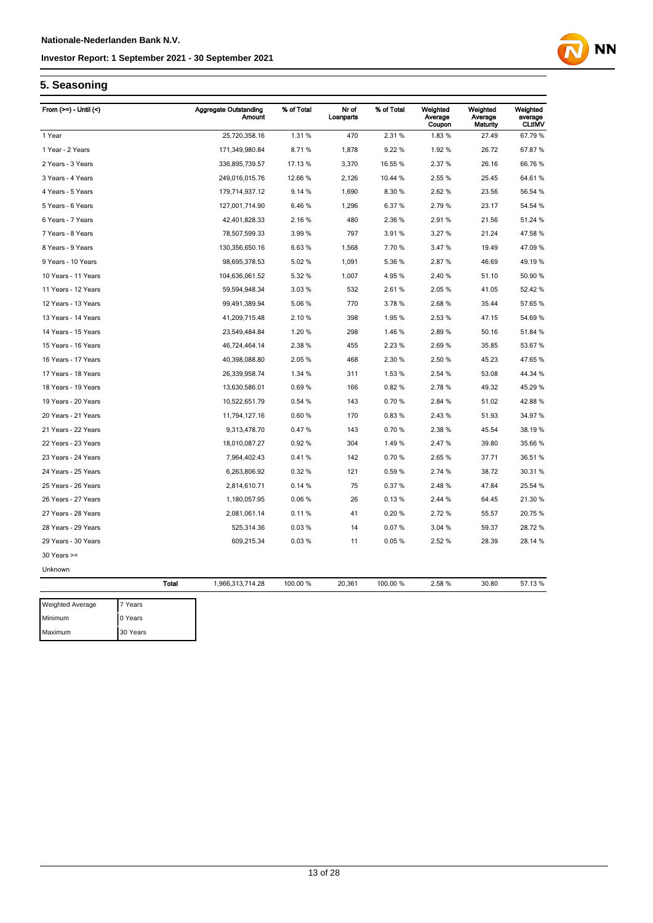

# **5. Seasoning**

| From $(>=)$ - Until $($ |         | <b>Aggregate Outstanding</b><br>Amount | % of Total | Nr of<br>Loanparts | % of Total | Weighted<br>Average<br>Coupon | Weighted<br>Average<br>Maturity | Weighted<br>average<br><b>CLtIMV</b> |
|-------------------------|---------|----------------------------------------|------------|--------------------|------------|-------------------------------|---------------------------------|--------------------------------------|
| 1 Year                  |         | 25,720,358.16                          | 1.31%      | 470                | 2.31%      | 1.83%                         | 27.49                           | 67.79 %                              |
| 1 Year - 2 Years        |         | 171,349,980.84                         | 8.71%      | 1,878              | 9.22 %     | 1.92 %                        | 26.72                           | 67.87%                               |
| 2 Years - 3 Years       |         | 336,895,739.57                         | 17.13 %    | 3,370              | 16.55 %    | 2.37 %                        | 26.16                           | 66.76 %                              |
| 3 Years - 4 Years       |         | 249,016,015.76                         | 12.66 %    | 2,126              | 10.44 %    | 2.55 %                        | 25.45                           | 64.61%                               |
| 4 Years - 5 Years       |         | 179,714,937.12                         | 9.14 %     | 1,690              | 8.30 %     | 2.62 %                        | 23.56                           | 56.54 %                              |
| 5 Years - 6 Years       |         | 127,001,714.90                         | 6.46%      | 1,296              | 6.37 %     | 2.79%                         | 23.17                           | 54.54 %                              |
| 6 Years - 7 Years       |         | 42,401,828.33                          | 2.16%      | 480                | 2.36%      | 2.91%                         | 21.56                           | 51.24 %                              |
| 7 Years - 8 Years       |         | 78,507,599.33                          | 3.99%      | 797                | 3.91%      | 3.27 %                        | 21.24                           | 47.58 %                              |
| 8 Years - 9 Years       |         | 130,356,650.16                         | 6.63%      | 1,568              | 7.70%      | 3.47%                         | 19.49                           | 47.09 %                              |
| 9 Years - 10 Years      |         | 98,695,378.53                          | 5.02%      | 1,091              | 5.36 %     | 2.87%                         | 46.69                           | 49.19 %                              |
| 10 Years - 11 Years     |         | 104,636,061.52                         | 5.32 %     | 1,007              | 4.95%      | 2.40%                         | 51.10                           | 50.90 %                              |
| 11 Years - 12 Years     |         | 59,594,948.34                          | 3.03%      | 532                | 2.61%      | 2.05%                         | 41.05                           | 52.42 %                              |
| 12 Years - 13 Years     |         | 99,491,389.94                          | 5.06%      | 770                | 3.78%      | 2.68%                         | 35.44                           | 57.65 %                              |
| 13 Years - 14 Years     |         | 41,209,715.48                          | 2.10%      | 398                | 1.95 %     | 2.53 %                        | 47.15                           | 54.69 %                              |
| 14 Years - 15 Years     |         | 23,549,484.84                          | 1.20%      | 298                | 1.46 %     | 2.89%                         | 50.16                           | 51.84 %                              |
| 15 Years - 16 Years     |         | 46,724,464.14                          | 2.38 %     | 455                | 2.23 %     | 2.69%                         | 35.85                           | 53.67 %                              |
| 16 Years - 17 Years     |         | 40,398,088.80                          | 2.05 %     | 468                | 2.30 %     | 2.50 %                        | 45.23                           | 47.65%                               |
| 17 Years - 18 Years     |         | 26,339,958.74                          | 1.34 %     | 311                | 1.53 %     | 2.54 %                        | 53.08                           | 44.34 %                              |
| 18 Years - 19 Years     |         | 13,630,586.01                          | 0.69%      | 166                | 0.82%      | 2.78%                         | 49.32                           | 45.29 %                              |
| 19 Years - 20 Years     |         | 10,522,651.79                          | 0.54 %     | 143                | 0.70%      | 2.84 %                        | 51.02                           | 42.88%                               |
| 20 Years - 21 Years     |         | 11,794,127.16                          | 0.60%      | 170                | 0.83%      | 2.43%                         | 51.93                           | 34.97 %                              |
| 21 Years - 22 Years     |         | 9,313,478.70                           | 0.47%      | 143                | 0.70%      | 2.38%                         | 45.54                           | 38.19 %                              |
| 22 Years - 23 Years     |         | 18,010,087.27                          | 0.92%      | 304                | 1.49 %     | 2.47%                         | 39.80                           | 35.66 %                              |
| 23 Years - 24 Years     |         | 7,964,402.43                           | 0.41%      | 142                | 0.70%      | 2.65%                         | 37.71                           | 36.51 %                              |
| 24 Years - 25 Years     |         | 6,263,806.92                           | 0.32%      | 121                | 0.59%      | 2.74 %                        | 38.72                           | 30.31 %                              |
| 25 Years - 26 Years     |         | 2,814,610.71                           | 0.14%      | 75                 | 0.37%      | 2.48%                         | 47.84                           | 25.54 %                              |
| 26 Years - 27 Years     |         | 1,180,057.95                           | 0.06%      | 26                 | 0.13%      | 2.44 %                        | 64.45                           | 21.30 %                              |
| 27 Years - 28 Years     |         | 2,081,061.14                           | 0.11%      | 41                 | 0.20%      | 2.72%                         | 55.57                           | 20.75 %                              |
| 28 Years - 29 Years     |         | 525,314.36                             | 0.03%      | 14                 | 0.07%      | 3.04 %                        | 59.37                           | 28.72 %                              |
| 29 Years - 30 Years     |         | 609,215.34                             | 0.03%      | 11                 | 0.05%      | 2.52%                         | 28.39                           | 28.14 %                              |
| $30$ Years $>=$         |         |                                        |            |                    |            |                               |                                 |                                      |
| Unknown                 |         |                                        |            |                    |            |                               |                                 |                                      |
|                         | Total   | 1,966,313,714.28                       | 100.00 %   | 20,361             | 100.00%    | 2.58%                         | 30.80                           | 57.13 %                              |
| <b>Weighted Average</b> | 7 Years |                                        |            |                    |            |                               |                                 |                                      |
| Minimum                 | 0 Years |                                        |            |                    |            |                               |                                 |                                      |

Maximum 30 Years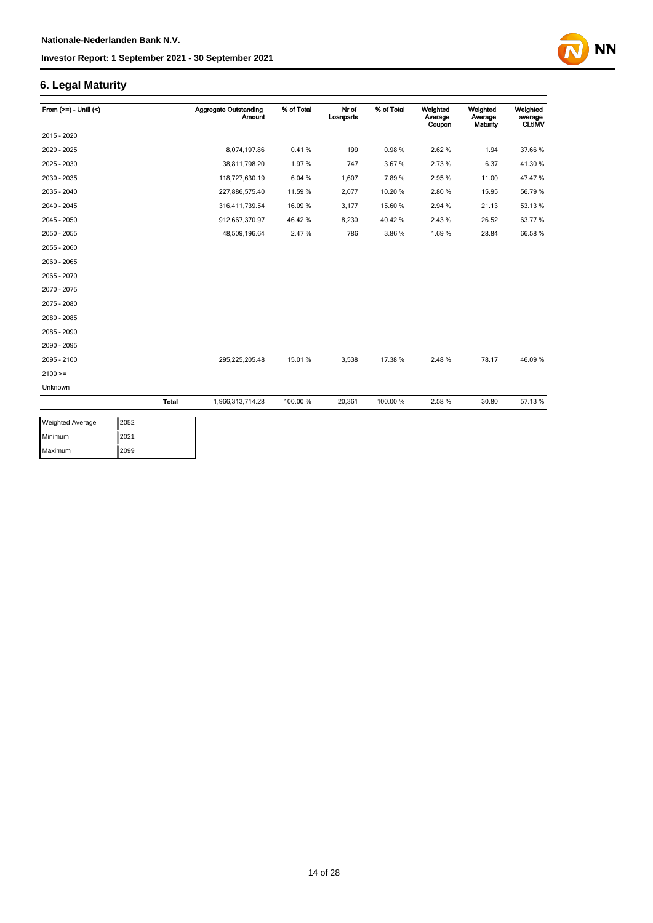# **6. Legal Maturity**

| From $(>=) -$ Until $($ |              | <b>Aggregate Outstanding</b><br><b>Amount</b> | % of Total | Nr of<br>Loanparts | % of Total | Weighted<br>Average<br>Coupon | Weighted<br>Average<br>Maturity | Weighted<br>average<br><b>CLtIMV</b> |
|-------------------------|--------------|-----------------------------------------------|------------|--------------------|------------|-------------------------------|---------------------------------|--------------------------------------|
| 2015 - 2020             |              |                                               |            |                    |            |                               |                                 |                                      |
| 2020 - 2025             |              | 8,074,197.86                                  | 0.41%      | 199                | 0.98%      | 2.62%                         | 1.94                            | 37.66 %                              |
| 2025 - 2030             |              | 38,811,798.20                                 | 1.97%      | 747                | 3.67%      | 2.73%                         | 6.37                            | 41.30 %                              |
| 2030 - 2035             |              | 118,727,630.19                                | 6.04%      | 1,607              | 7.89%      | 2.95%                         | 11.00                           | 47.47%                               |
| 2035 - 2040             |              | 227,886,575.40                                | 11.59 %    | 2,077              | 10.20%     | 2.80%                         | 15.95                           | 56.79%                               |
| 2040 - 2045             |              | 316,411,739.54                                | 16.09%     | 3,177              | 15.60%     | 2.94 %                        | 21.13                           | 53.13%                               |
| 2045 - 2050             |              | 912,667,370.97                                | 46.42%     | 8,230              | 40.42%     | 2.43%                         | 26.52                           | 63.77%                               |
| 2050 - 2055             |              | 48,509,196.64                                 | 2.47%      | 786                | 3.86%      | 1.69%                         | 28.84                           | 66.58 %                              |
| 2055 - 2060             |              |                                               |            |                    |            |                               |                                 |                                      |
| 2060 - 2065             |              |                                               |            |                    |            |                               |                                 |                                      |
| 2065 - 2070             |              |                                               |            |                    |            |                               |                                 |                                      |
| 2070 - 2075             |              |                                               |            |                    |            |                               |                                 |                                      |
| 2075 - 2080             |              |                                               |            |                    |            |                               |                                 |                                      |
| 2080 - 2085             |              |                                               |            |                    |            |                               |                                 |                                      |
| 2085 - 2090             |              |                                               |            |                    |            |                               |                                 |                                      |
| 2090 - 2095             |              |                                               |            |                    |            |                               |                                 |                                      |
| 2095 - 2100             |              | 295,225,205.48                                | 15.01%     | 3,538              | 17.38 %    | 2.48%                         | 78.17                           | 46.09%                               |
| $2100 >=$               |              |                                               |            |                    |            |                               |                                 |                                      |
| Unknown                 |              |                                               |            |                    |            |                               |                                 |                                      |
|                         | <b>Total</b> | 1,966,313,714.28                              | 100.00 %   | 20,361             | 100.00%    | 2.58 %                        | 30.80                           | 57.13%                               |

| <b>Weighted Average</b> | 2052 |
|-------------------------|------|
| Minimum                 | 2021 |
| Maximum                 | 2099 |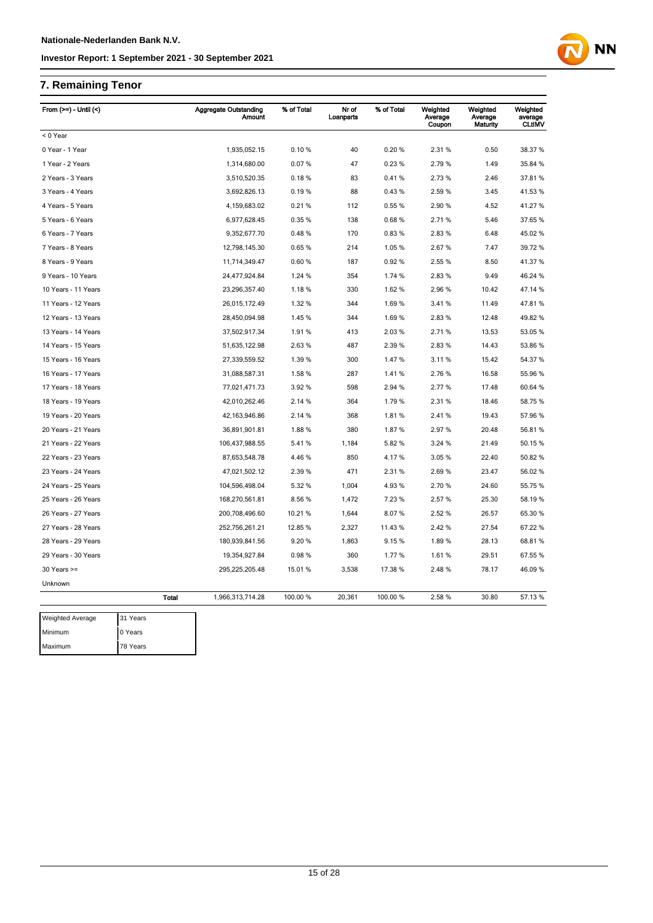# **7. Remaining Tenor**

| From $(>=)$ - Until $($ |          |              | <b>Aggregate Outstanding</b><br>Amount | % of Total | Nr of<br>Loanparts | % of Total | Weighted<br>Average<br>Coupon | Weighted<br>Average<br>Maturity | Weighted<br>average<br><b>CLtIMV</b> |
|-------------------------|----------|--------------|----------------------------------------|------------|--------------------|------------|-------------------------------|---------------------------------|--------------------------------------|
| < 0 Year                |          |              |                                        |            |                    |            |                               |                                 |                                      |
| 0 Year - 1 Year         |          |              | 1,935,052.15                           | 0.10%      | 40                 | 0.20%      | 2.31%                         | 0.50                            | 38.37 %                              |
| 1 Year - 2 Years        |          |              | 1,314,680.00                           | 0.07%      | 47                 | 0.23%      | 2.79%                         | 1.49                            | 35.84 %                              |
| 2 Years - 3 Years       |          |              | 3,510,520.35                           | 0.18%      | 83                 | 0.41%      | 2.73 %                        | 2.46                            | 37.81 %                              |
| 3 Years - 4 Years       |          |              | 3,692,826.13                           | 0.19%      | 88                 | 0.43%      | 2.59%                         | 3.45                            | 41.53%                               |
| 4 Years - 5 Years       |          |              | 4,159,683.02                           | 0.21%      | 112                | 0.55%      | 2.90 %                        | 4.52                            | 41.27%                               |
| 5 Years - 6 Years       |          |              | 6,977,628.45                           | 0.35%      | 138                | 0.68%      | 2.71 %                        | 5.46                            | 37.65 %                              |
| 6 Years - 7 Years       |          |              | 9,352,677.70                           | 0.48%      | 170                | 0.83%      | 2.83%                         | 6.48                            | 45.02%                               |
| 7 Years - 8 Years       |          |              | 12,798,145.30                          | 0.65%      | 214                | 1.05 %     | 2.67 %                        | 7.47                            | 39.72 %                              |
| 8 Years - 9 Years       |          |              | 11,714,349.47                          | 0.60%      | 187                | 0.92%      | 2.55 %                        | 8.50                            | 41.37%                               |
| 9 Years - 10 Years      |          |              | 24,477,924.84                          | 1.24 %     | 354                | 1.74 %     | 2.83%                         | 9.49                            | 46.24 %                              |
| 10 Years - 11 Years     |          |              | 23,296,357.40                          | 1.18%      | 330                | 1.62%      | 2.96%                         | 10.42                           | 47.14 %                              |
| 11 Years - 12 Years     |          |              | 26,015,172.49                          | 1.32 %     | 344                | 1.69%      | 3.41%                         | 11.49                           | 47.81%                               |
| 12 Years - 13 Years     |          |              | 28,450,094.98                          | 1.45 %     | 344                | 1.69%      | 2.83%                         | 12.48                           | 49.82 %                              |
| 13 Years - 14 Years     |          |              | 37,502,917.34                          | 1.91%      | 413                | 2.03%      | 2.71%                         | 13.53                           | 53.05 %                              |
| 14 Years - 15 Years     |          |              | 51,635,122.98                          | 2.63%      | 487                | 2.39 %     | 2.83%                         | 14.43                           | 53.86 %                              |
| 15 Years - 16 Years     |          |              | 27,339,559.52                          | 1.39 %     | 300                | 1.47%      | 3.11%                         | 15.42                           | 54.37 %                              |
| 16 Years - 17 Years     |          |              | 31,088,587.31                          | 1.58%      | 287                | 1.41%      | 2.76%                         | 16.58                           | 55.96 %                              |
| 17 Years - 18 Years     |          |              | 77,021,471.73                          | 3.92%      | 598                | 2.94 %     | 2.77%                         | 17.48                           | 60.64 %                              |
| 18 Years - 19 Years     |          |              | 42,010,262.46                          | 2.14 %     | 364                | 1.79%      | 2.31%                         | 18.46                           | 58.75 %                              |
| 19 Years - 20 Years     |          |              | 42, 163, 946.86                        | 2.14 %     | 368                | 1.81%      | 2.41%                         | 19.43                           | 57.96 %                              |
| 20 Years - 21 Years     |          |              | 36,891,901.81                          | 1.88%      | 380                | 1.87%      | 2.97%                         | 20.48                           | 56.81 %                              |
| 21 Years - 22 Years     |          |              | 106,437,988.55                         | 5.41%      | 1,184              | 5.82%      | 3.24 %                        | 21.49                           | 50.15 %                              |
| 22 Years - 23 Years     |          |              | 87,653,548.78                          | 4.46%      | 850                | 4.17%      | 3.05%                         | 22.40                           | 50.82 %                              |
| 23 Years - 24 Years     |          |              | 47,021,502.12                          | 2.39%      | 471                | 2.31 %     | 2.69%                         | 23.47                           | 56.02 %                              |
| 24 Years - 25 Years     |          |              | 104,596,498.04                         | 5.32 %     | 1,004              | 4.93%      | 2.70%                         | 24.60                           | 55.75 %                              |
| 25 Years - 26 Years     |          |              | 168,270,561.81                         | 8.56%      | 1,472              | 7.23 %     | 2.57%                         | 25.30                           | 58.19%                               |
| 26 Years - 27 Years     |          |              | 200,708,496.60                         | 10.21 %    | 1,644              | 8.07%      | 2.52 %                        | 26.57                           | 65.30 %                              |
| 27 Years - 28 Years     |          |              | 252,756,261.21                         | 12.85 %    | 2,327              | 11.43%     | 2.42%                         | 27.54                           | 67.22 %                              |
| 28 Years - 29 Years     |          |              | 180,939,841.56                         | 9.20%      | 1,863              | 9.15%      | 1.89%                         | 28.13                           | 68.81%                               |
| 29 Years - 30 Years     |          |              | 19,354,927.84                          | 0.98%      | 360                | 1.77%      | 1.61%                         | 29.51                           | 67.55 %                              |
| $30$ Years $>=$         |          |              | 295,225,205.48                         | 15.01 %    | 3,538              | 17.38 %    | 2.48%                         | 78.17                           | 46.09 %                              |
| Unknown                 |          |              |                                        |            |                    |            |                               |                                 |                                      |
|                         |          | <b>Total</b> | 1,966,313,714.28                       | 100.00 %   | 20,361             | 100.00 %   | 2.58 %                        | 30.80                           | 57.13 %                              |
| <b>Weighted Average</b> | 31 Years |              |                                        |            |                    |            |                               |                                 |                                      |
| Minimum                 | 0 Years  |              |                                        |            |                    |            |                               |                                 |                                      |
| Maximum                 | 78 Years |              |                                        |            |                    |            |                               |                                 |                                      |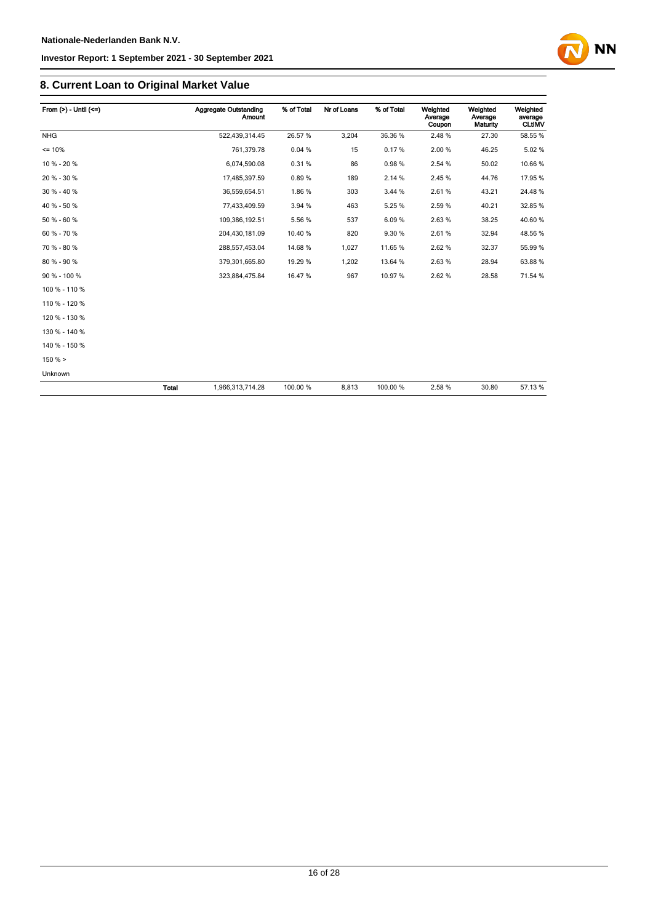# **8. Current Loan to Original Market Value**

| From $(>)$ - Until $(<=)$ |              | <b>Aggregate Outstanding</b><br>Amount | % of Total | Nr of Loans | % of Total | Weighted<br>Average<br>Coupon | Weighted<br>Average<br>Maturity | Weighted<br>average<br><b>CLtIMV</b> |
|---------------------------|--------------|----------------------------------------|------------|-------------|------------|-------------------------------|---------------------------------|--------------------------------------|
| <b>NHG</b>                |              | 522,439,314.45                         | 26.57%     | 3,204       | 36.36%     | 2.48%                         | 27.30                           | 58.55 %                              |
| $= 10%$                   |              | 761,379.78                             | 0.04%      | 15          | 0.17%      | 2.00 %                        | 46.25                           | 5.02%                                |
| 10 % - 20 %               |              | 6,074,590.08                           | 0.31%      | 86          | 0.98%      | 2.54 %                        | 50.02                           | 10.66%                               |
| 20 % - 30 %               |              | 17,485,397.59                          | 0.89%      | 189         | 2.14 %     | 2.45%                         | 44.76                           | 17.95 %                              |
| 30 % - 40 %               |              | 36,559,654.51                          | 1.86%      | 303         | 3.44 %     | 2.61%                         | 43.21                           | 24.48%                               |
| 40 % - 50 %               |              | 77,433,409.59                          | 3.94 %     | 463         | 5.25 %     | 2.59%                         | 40.21                           | 32.85 %                              |
| 50 % - 60 %               |              | 109,386,192.51                         | 5.56 %     | 537         | 6.09%      | 2.63%                         | 38.25                           | 40.60%                               |
| 60 % - 70 %               |              | 204,430,181.09                         | 10.40 %    | 820         | 9.30 %     | 2.61%                         | 32.94                           | 48.56 %                              |
| 70 % - 80 %               |              | 288,557,453.04                         | 14.68 %    | 1,027       | 11.65%     | 2.62%                         | 32.37                           | 55.99 %                              |
| 80 % - 90 %               |              | 379,301,665.80                         | 19.29 %    | 1,202       | 13.64 %    | 2.63%                         | 28.94                           | 63.88%                               |
| 90 % - 100 %              |              | 323,884,475.84                         | 16.47%     | 967         | 10.97%     | 2.62%                         | 28.58                           | 71.54 %                              |
| 100 % - 110 %             |              |                                        |            |             |            |                               |                                 |                                      |
| 110 % - 120 %             |              |                                        |            |             |            |                               |                                 |                                      |
| 120 % - 130 %             |              |                                        |            |             |            |                               |                                 |                                      |
| 130 % - 140 %             |              |                                        |            |             |            |                               |                                 |                                      |
| 140 % - 150 %             |              |                                        |            |             |            |                               |                                 |                                      |
| $150 \%$                  |              |                                        |            |             |            |                               |                                 |                                      |
| Unknown                   |              |                                        |            |             |            |                               |                                 |                                      |
|                           | <b>Total</b> | 1,966,313,714.28                       | 100.00 %   | 8,813       | 100.00%    | 2.58%                         | 30.80                           | 57.13 %                              |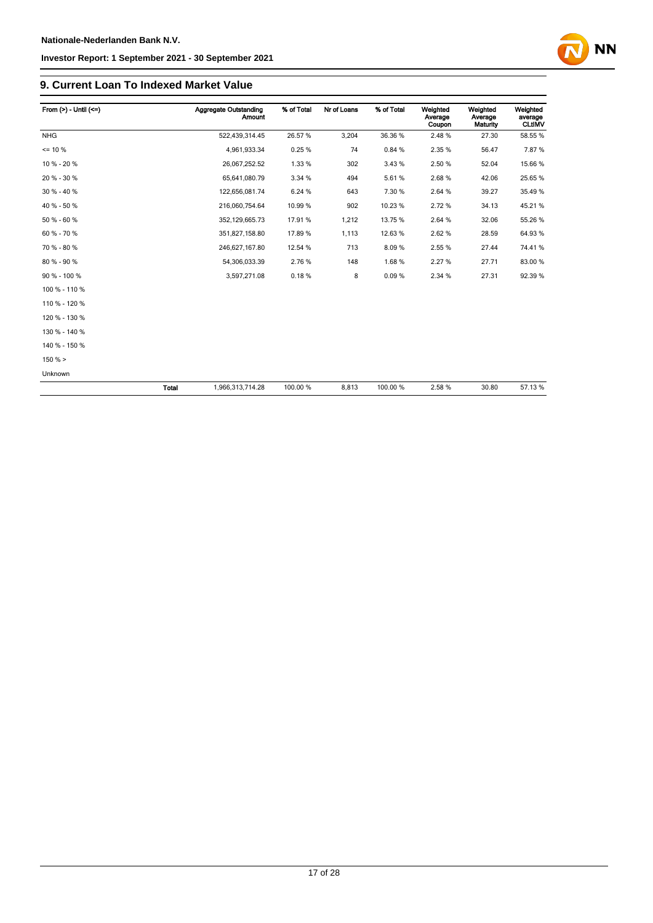## **9. Current Loan To Indexed Market Value**

| From $(>) -$ Until $(<=)$ |       | Aggregate Outstanding<br><b>Amount</b> | % of Total | Nr of Loans | % of Total | Weighted<br>Average<br>Coupon | Weighted<br>Average<br><b>Maturity</b> | Weighted<br>average<br><b>CLtIMV</b> |
|---------------------------|-------|----------------------------------------|------------|-------------|------------|-------------------------------|----------------------------------------|--------------------------------------|
| <b>NHG</b>                |       | 522,439,314.45                         | 26.57%     | 3,204       | 36.36%     | 2.48%                         | 27.30                                  | 58.55 %                              |
| $= 10 \%$                 |       | 4,961,933.34                           | 0.25%      | 74          | 0.84 %     | 2.35 %                        | 56.47                                  | 7.87%                                |
| 10 % - 20 %               |       | 26,067,252.52                          | 1.33 %     | 302         | 3.43 %     | 2.50 %                        | 52.04                                  | 15.66 %                              |
| 20 % - 30 %               |       | 65,641,080.79                          | 3.34 %     | 494         | 5.61%      | 2.68%                         | 42.06                                  | 25.65 %                              |
| 30 % - 40 %               |       | 122,656,081.74                         | 6.24 %     | 643         | 7.30 %     | 2.64 %                        | 39.27                                  | 35.49 %                              |
| 40 % - 50 %               |       | 216,060,754.64                         | 10.99 %    | 902         | 10.23%     | 2.72%                         | 34.13                                  | 45.21%                               |
| 50 % - 60 %               |       | 352, 129, 665. 73                      | 17.91 %    | 1,212       | 13.75 %    | 2.64 %                        | 32.06                                  | 55.26 %                              |
| 60 % - 70 %               |       | 351,827,158.80                         | 17.89 %    | 1,113       | 12.63%     | 2.62%                         | 28.59                                  | 64.93%                               |
| 70 % - 80 %               |       | 246,627,167.80                         | 12.54 %    | 713         | 8.09%      | 2.55 %                        | 27.44                                  | 74.41%                               |
| 80 % - 90 %               |       | 54,306,033.39                          | 2.76%      | 148         | 1.68%      | 2.27%                         | 27.71                                  | 83.00 %                              |
| 90 % - 100 %              |       | 3,597,271.08                           | 0.18%      | 8           | 0.09%      | 2.34 %                        | 27.31                                  | 92.39 %                              |
| 100 % - 110 %             |       |                                        |            |             |            |                               |                                        |                                      |
| 110 % - 120 %             |       |                                        |            |             |            |                               |                                        |                                      |
| 120 % - 130 %             |       |                                        |            |             |            |                               |                                        |                                      |
| 130 % - 140 %             |       |                                        |            |             |            |                               |                                        |                                      |
| 140 % - 150 %             |       |                                        |            |             |            |                               |                                        |                                      |
| 150%                      |       |                                        |            |             |            |                               |                                        |                                      |
| Unknown                   |       |                                        |            |             |            |                               |                                        |                                      |
|                           | Total | 1,966,313,714.28                       | 100.00 %   | 8,813       | 100.00 %   | 2.58%                         | 30.80                                  | 57.13 %                              |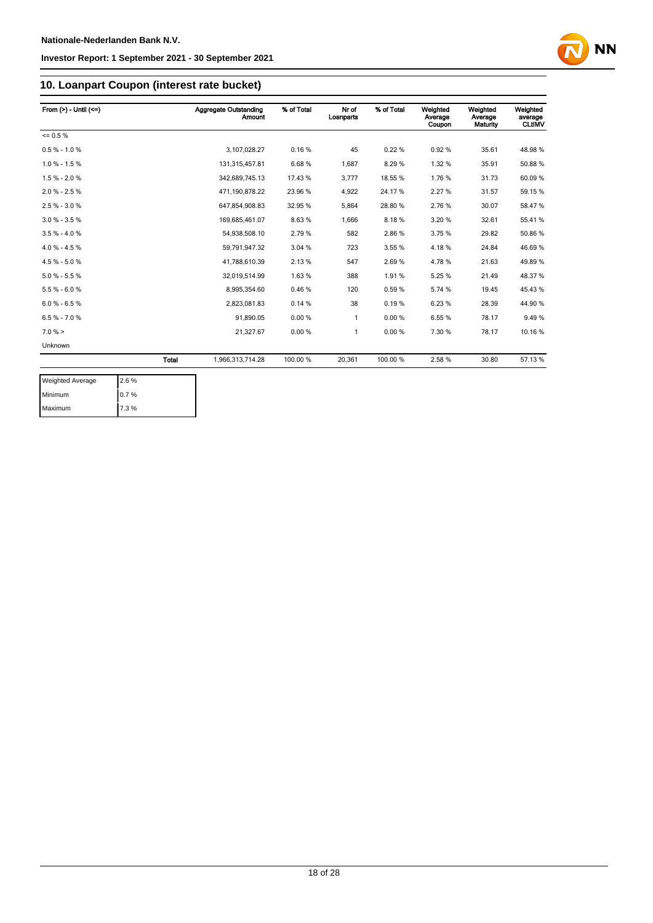

# **10. Loanpart Coupon (interest rate bucket)**

| From $(>) -$ Until $(<=)$ |              | <b>Aggregate Outstanding</b><br><b>Amount</b> | % of Total | Nr of<br>Loanparts | % of Total | Weighted<br>Average<br>Coupon | Weighted<br>Average<br>Maturity | Weighted<br>average<br><b>CLtIMV</b> |
|---------------------------|--------------|-----------------------------------------------|------------|--------------------|------------|-------------------------------|---------------------------------|--------------------------------------|
| $= 0.5 \%$                |              |                                               |            |                    |            |                               |                                 |                                      |
| $0.5 % - 1.0 %$           |              | 3,107,028.27                                  | 0.16%      | 45                 | 0.22%      | 0.92%                         | 35.61                           | 48.98%                               |
| $1.0 \% - 1.5 \%$         |              | 131,315,457.81                                | 6.68%      | 1,687              | 8.29%      | 1.32 %                        | 35.91                           | 50.88%                               |
| $1.5 % - 2.0 %$           |              | 342,689,745.13                                | 17.43 %    | 3,777              | 18.55 %    | 1.76%                         | 31.73                           | 60.09%                               |
| $2.0 % - 2.5 %$           |              | 471,190,878.22                                | 23.96 %    | 4,922              | 24.17%     | 2.27%                         | 31.57                           | 59.15 %                              |
| $2.5% - 3.0%$             |              | 647,854,908.83                                | 32.95 %    | 5,864              | 28.80%     | 2.76%                         | 30.07                           | 58.47%                               |
| $3.0 \% - 3.5 \%$         |              | 169,685,461.07                                | 8.63%      | 1,666              | 8.18%      | 3.20%                         | 32.61                           | 55.41%                               |
| $3.5 \% - 4.0 \%$         |              | 54,938,508.10                                 | 2.79%      | 582                | 2.86%      | 3.75 %                        | 29.82                           | 50.86 %                              |
| $4.0 \% - 4.5 \%$         |              | 59.791.947.32                                 | 3.04 %     | 723                | 3.55 %     | 4.18%                         | 24.84                           | 46.69%                               |
| 4.5 % - 5.0 %             |              | 41,788,610.39                                 | 2.13%      | 547                | 2.69%      | 4.78%                         | 21.63                           | 49.89%                               |
| $5.0 \% - 5.5 \%$         |              | 32,019,514.99                                 | 1.63%      | 388                | 1.91%      | 5.25%                         | 21.49                           | 48.37%                               |
| $5.5 % - 6.0 %$           |              | 8,995,354.60                                  | 0.46%      | 120                | 0.59%      | 5.74 %                        | 19.45                           | 45.43%                               |
| $6.0 % - 6.5 %$           |              | 2,823,081.83                                  | 0.14%      | 38                 | 0.19%      | 6.23%                         | 28.39                           | 44.90 %                              |
| $6.5 % -7.0 %$            |              | 91,890.05                                     | 0.00%      | 1                  | 0.00%      | 6.55%                         | 78.17                           | 9.49%                                |
| 7.0%                      |              | 21,327.67                                     | 0.00%      | 1                  | 0.00%      | 7.30 %                        | 78.17                           | 10.16 %                              |
| Unknown                   |              |                                               |            |                    |            |                               |                                 |                                      |
|                           | <b>Total</b> | 1,966,313,714.28                              | 100.00 %   | 20,361             | 100.00 %   | 2.58%                         | 30.80                           | 57.13 %                              |

| <b>Weighted Average</b> | 2.6% |
|-------------------------|------|
| Minimum                 | 0.7% |
| Maximum                 | 7.3% |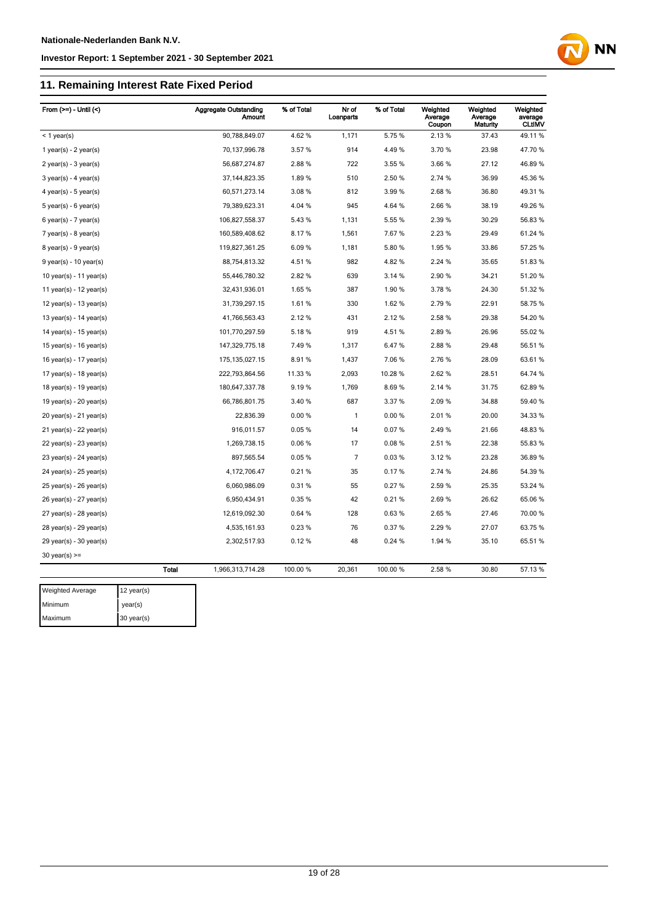# **11. Remaining Interest Rate Fixed Period**



| From $(>=)$ - Until $($   |              | <b>Aggregate Outstanding</b><br><b>Amount</b> | % of Total | Nr of<br>Loanparts | % of Total | Weighted<br>Average<br>Coupon | Weighted<br>Average<br><b>Maturity</b> | Weighted<br>average<br><b>CLtIMV</b> |
|---------------------------|--------------|-----------------------------------------------|------------|--------------------|------------|-------------------------------|----------------------------------------|--------------------------------------|
| $<$ 1 year(s)             |              | 90,788,849.07                                 | 4.62%      | 1,171              | 5.75%      | 2.13%                         | 37.43                                  | 49.11%                               |
| 1 year(s) - $2$ year(s)   |              | 70,137,996.78                                 | 3.57%      | 914                | 4.49%      | 3.70 %                        | 23.98                                  | 47.70%                               |
| $2$ year(s) - 3 year(s)   |              | 56,687,274.87                                 | 2.88%      | 722                | 3.55 %     | 3.66%                         | 27.12                                  | 46.89%                               |
| $3$ year(s) - 4 year(s)   |              | 37, 144, 823. 35                              | 1.89%      | 510                | 2.50 %     | 2.74 %                        | 36.99                                  | 45.36 %                              |
| 4 year(s) - 5 year(s)     |              | 60,571,273.14                                 | 3.08%      | 812                | 3.99%      | 2.68%                         | 36.80                                  | 49.31%                               |
| $5$ year(s) - $6$ year(s) |              | 79,389,623.31                                 | 4.04 %     | 945                | 4.64 %     | 2.66%                         | 38.19                                  | 49.26 %                              |
| $6$ year(s) - 7 year(s)   |              | 106,827,558.37                                | 5.43%      | 1,131              | 5.55 %     | 2.39 %                        | 30.29                                  | 56.83 %                              |
| 7 year(s) - 8 year(s)     |              | 160,589,408.62                                | 8.17%      | 1,561              | 7.67%      | 2.23 %                        | 29.49                                  | 61.24 %                              |
| $8$ year(s) - $9$ year(s) |              | 119,827,361.25                                | 6.09%      | 1,181              | 5.80%      | 1.95%                         | 33.86                                  | 57.25 %                              |
| $9$ year(s) - 10 year(s)  |              | 88,754,813.32                                 | 4.51%      | 982                | 4.82%      | 2.24 %                        | 35.65                                  | 51.83 %                              |
| 10 year(s) - 11 year(s)   |              | 55,446,780.32                                 | 2.82%      | 639                | 3.14 %     | 2.90%                         | 34.21                                  | 51.20%                               |
| 11 year(s) - 12 year(s)   |              | 32,431,936.01                                 | 1.65%      | 387                | 1.90%      | 3.78%                         | 24.30                                  | 51.32 %                              |
| 12 year(s) - 13 year(s)   |              | 31,739,297.15                                 | 1.61%      | 330                | 1.62%      | 2.79%                         | 22.91                                  | 58.75 %                              |
| 13 year(s) - 14 year(s)   |              | 41,766,563.43                                 | 2.12%      | 431                | 2.12%      | 2.58%                         | 29.38                                  | 54.20%                               |
| 14 year(s) - 15 year(s)   |              | 101,770,297.59                                | 5.18%      | 919                | 4.51%      | 2.89%                         | 26.96                                  | 55.02 %                              |
| 15 year(s) - 16 year(s)   |              | 147,329,775.18                                | 7.49%      | 1,317              | 6.47%      | 2.88%                         | 29.48                                  | 56.51 %                              |
| 16 year(s) - 17 year(s)   |              | 175, 135, 027. 15                             | 8.91%      | 1,437              | 7.06%      | 2.76%                         | 28.09                                  | 63.61%                               |
| 17 year(s) - 18 year(s)   |              | 222,793,864.56                                | 11.33 %    | 2,093              | 10.28%     | 2.62%                         | 28.51                                  | 64.74 %                              |
| 18 year(s) - 19 year(s)   |              | 180,647,337.78                                | 9.19%      | 1,769              | 8.69%      | 2.14 %                        | 31.75                                  | 62.89%                               |
| 19 year(s) - $20$ year(s) |              | 66,786,801.75                                 | 3.40%      | 687                | 3.37 %     | 2.09%                         | 34.88                                  | 59.40 %                              |
| 20 year(s) - 21 year(s)   |              | 22,836.39                                     | 0.00%      | 1                  | 0.00%      | 2.01%                         | 20.00                                  | 34.33 %                              |
| 21 year(s) - 22 year(s)   |              | 916,011.57                                    | 0.05%      | 14                 | 0.07%      | 2.49%                         | 21.66                                  | 48.83%                               |
| 22 year(s) - 23 year(s)   |              | 1,269,738.15                                  | 0.06%      | 17                 | 0.08%      | 2.51%                         | 22.38                                  | 55.83 %                              |
| 23 year(s) - 24 year(s)   |              | 897,565.54                                    | 0.05%      | $\overline{7}$     | 0.03%      | 3.12%                         | 23.28                                  | 36.89 %                              |
| 24 year(s) - 25 year(s)   |              | 4,172,706.47                                  | 0.21%      | 35                 | 0.17%      | 2.74 %                        | 24.86                                  | 54.39 %                              |
| 25 year(s) - 26 year(s)   |              | 6,060,986.09                                  | 0.31%      | 55                 | 0.27%      | 2.59%                         | 25.35                                  | 53.24 %                              |
| 26 year(s) - 27 year(s)   |              | 6,950,434.91                                  | 0.35%      | 42                 | 0.21%      | 2.69%                         | 26.62                                  | 65.06%                               |
| 27 year(s) - 28 year(s)   |              | 12,619,092.30                                 | 0.64%      | 128                | 0.63%      | 2.65%                         | 27.46                                  | 70.00 %                              |
| 28 year(s) - 29 year(s)   |              | 4,535,161.93                                  | 0.23%      | 76                 | 0.37%      | 2.29%                         | 27.07                                  | 63.75%                               |
| 29 year(s) - 30 year(s)   |              | 2,302,517.93                                  | 0.12%      | 48                 | 0.24%      | 1.94 %                        | 35.10                                  | 65.51 %                              |
| $30$ year(s) >=           |              |                                               |            |                    |            |                               |                                        |                                      |
|                           | <b>Total</b> | 1,966,313,714.28                              | 100.00 %   | 20,361             | 100.00%    | 2.58 %                        | 30.80                                  | 57.13%                               |
| <b>Weighted Average</b>   | 12 year(s)   |                                               |            |                    |            |                               |                                        |                                      |
|                           |              |                                               |            |                    |            |                               |                                        |                                      |

Minimum year(s) Maximum 30 year(s)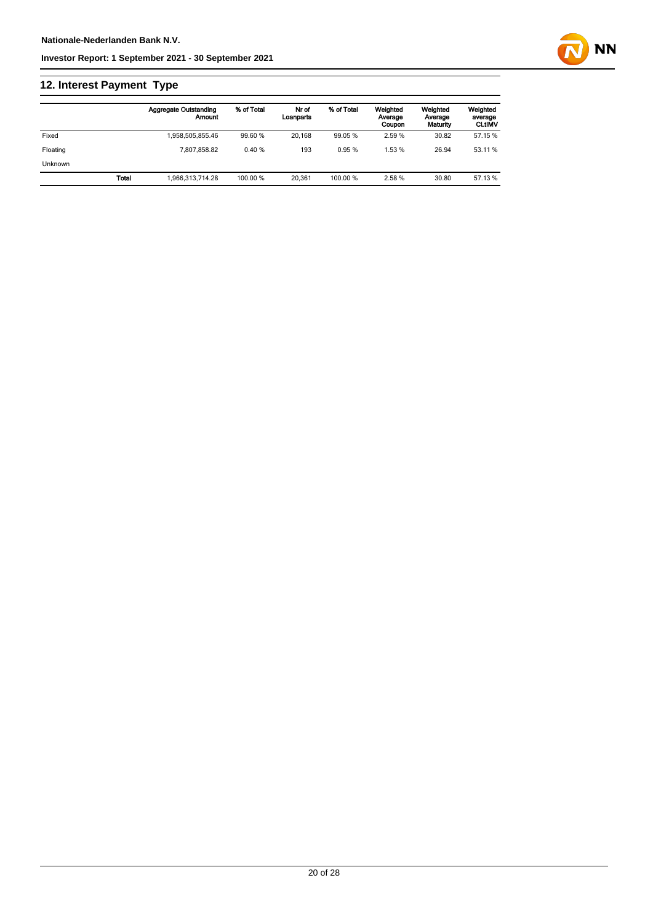# **12. Interest Payment Type**

|                |       | <b>Aggregate Outstanding</b><br>Amount | % of Total | Nr of<br>Loanparts | % of Total | Weighted<br>Average<br>Coupon | Weighted<br>Average<br>Maturity | Weighted<br>average<br><b>CLtIMV</b> |
|----------------|-------|----------------------------------------|------------|--------------------|------------|-------------------------------|---------------------------------|--------------------------------------|
| Fixed          |       | 1.958.505.855.46                       | 99.60 %    | 20.168             | 99.05 %    | 2.59 %                        | 30.82                           | 57.15 %                              |
| Floating       |       | 7.807.858.82                           | 0.40%      | 193                | 0.95%      | 1.53%                         | 26.94                           | 53.11 %                              |
| <b>Unknown</b> |       |                                        |            |                    |            |                               |                                 |                                      |
|                | Total | 1.966.313.714.28                       | 100.00 %   | 20.361             | 100.00 %   | 2.58%                         | 30.80                           | 57.13 %                              |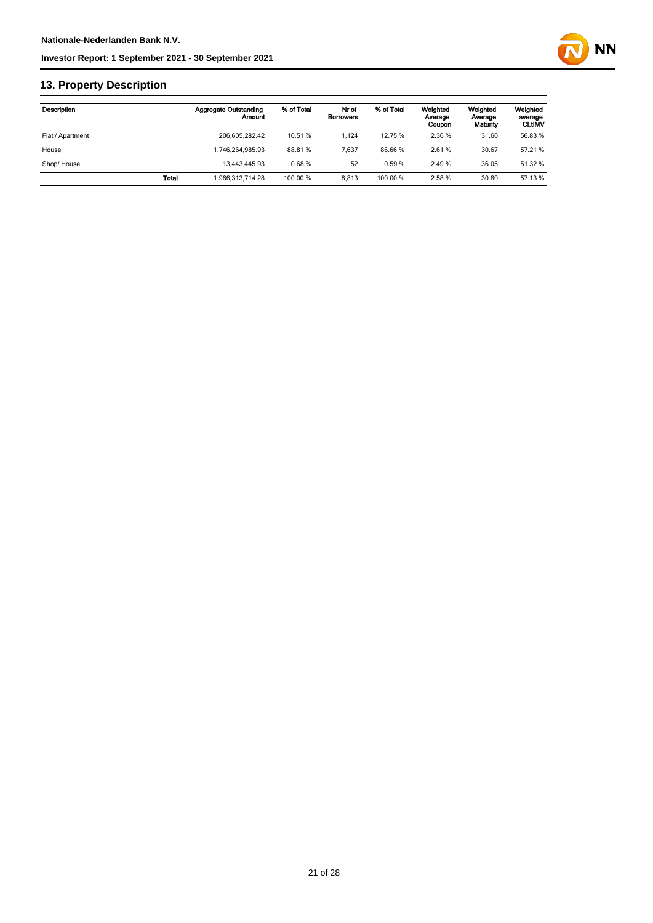

# **13. Property Description**

| <b>Description</b> |       | <b>Aggregate Outstanding</b><br>Amount | % of Total | Nr of<br><b>Borrowers</b> | % of Total | Weighted<br>Average<br>Coupon | Weighted<br>Average<br>Maturity | Weighted<br>average<br><b>CLtIMV</b> |
|--------------------|-------|----------------------------------------|------------|---------------------------|------------|-------------------------------|---------------------------------|--------------------------------------|
| Flat / Apartment   |       | 206.605.282.42                         | 10.51 %    | 1.124                     | 12.75 %    | 2.36 %                        | 31.60                           | 56.83 %                              |
| House              |       | 1.746.264.985.93                       | 88.81%     | 7.637                     | 86.66%     | 2.61%                         | 30.67                           | 57.21 %                              |
| Shop/House         |       | 13.443.445.93                          | 0.68%      | 52                        | 0.59%      | 2.49%                         | 36.05                           | 51.32 %                              |
|                    | Total | 1.966.313.714.28                       | 100.00 %   | 8.813                     | 100.00 %   | 2.58%                         | 30.80                           | 57.13 %                              |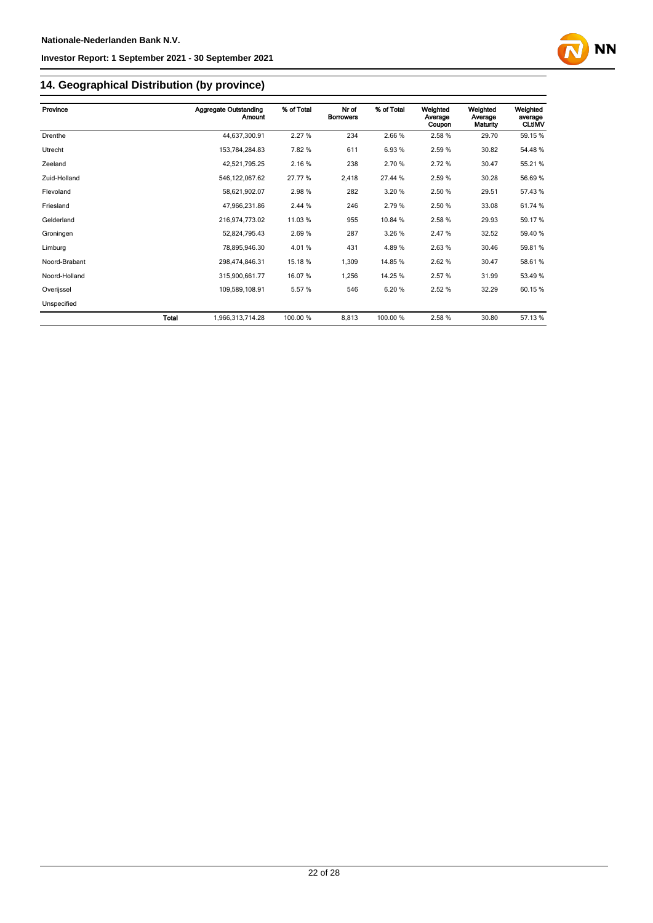

# **14. Geographical Distribution (by province)**

| Province      |              | <b>Aggregate Outstanding</b><br>Amount | % of Total | Nr of<br><b>Borrowers</b> | % of Total | Weighted<br>Average<br>Coupon | Weighted<br>Average<br>Maturity | Weighted<br>average<br><b>CLtIMV</b> |
|---------------|--------------|----------------------------------------|------------|---------------------------|------------|-------------------------------|---------------------------------|--------------------------------------|
| Drenthe       |              | 44,637,300.91                          | 2.27%      | 234                       | 2.66%      | 2.58%                         | 29.70                           | 59.15 %                              |
| Utrecht       |              | 153,784,284.83                         | 7.82%      | 611                       | 6.93%      | 2.59%                         | 30.82                           | 54.48%                               |
| Zeeland       |              | 42,521,795.25                          | 2.16%      | 238                       | 2.70 %     | 2.72%                         | 30.47                           | 55.21 %                              |
| Zuid-Holland  |              | 546, 122, 067.62                       | 27.77 %    | 2,418                     | 27.44 %    | 2.59 %                        | 30.28                           | 56.69 %                              |
| Flevoland     |              | 58,621,902.07                          | 2.98%      | 282                       | 3.20%      | 2.50 %                        | 29.51                           | 57.43 %                              |
| Friesland     |              | 47,966,231.86                          | 2.44 %     | 246                       | 2.79%      | 2.50 %                        | 33.08                           | 61.74 %                              |
| Gelderland    |              | 216,974,773.02                         | 11.03%     | 955                       | 10.84 %    | 2.58%                         | 29.93                           | 59.17%                               |
| Groningen     |              | 52,824,795.43                          | 2.69%      | 287                       | 3.26%      | 2.47%                         | 32.52                           | 59.40 %                              |
| Limburg       |              | 78,895,946.30                          | 4.01%      | 431                       | 4.89%      | 2.63%                         | 30.46                           | 59.81 %                              |
| Noord-Brabant |              | 298,474,846.31                         | 15.18 %    | 1,309                     | 14.85%     | 2.62%                         | 30.47                           | 58.61%                               |
| Noord-Holland |              | 315,900,661.77                         | 16.07 %    | 1,256                     | 14.25 %    | 2.57 %                        | 31.99                           | 53.49 %                              |
| Overijssel    |              | 109,589,108.91                         | 5.57%      | 546                       | 6.20%      | 2.52 %                        | 32.29                           | 60.15 %                              |
| Unspecified   |              |                                        |            |                           |            |                               |                                 |                                      |
|               | <b>Total</b> | 1,966,313,714.28                       | 100.00 %   | 8,813                     | 100.00 %   | 2.58%                         | 30.80                           | 57.13 %                              |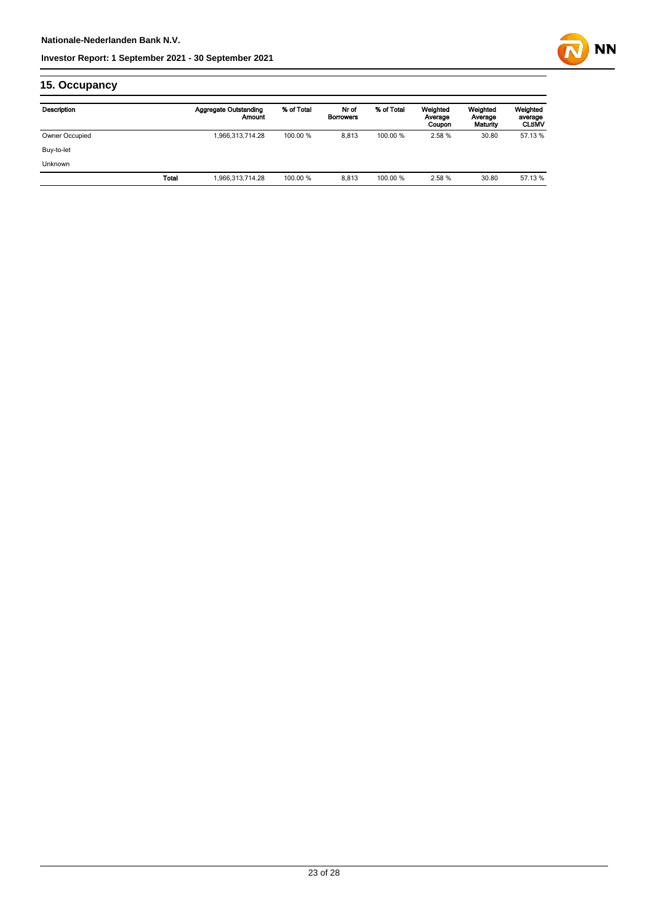

# **15. Occupancy**

| Description    |              | Aggregate Outstanding<br>Amount | % of Total | Nr of<br><b>Borrowers</b> | % of Total | Weighted<br>Average<br>Coupon | Weighted<br>Average<br>Maturity | Weighted<br>average<br><b>CLtIMV</b> |
|----------------|--------------|---------------------------------|------------|---------------------------|------------|-------------------------------|---------------------------------|--------------------------------------|
| Owner Occupied |              | 1,966,313,714.28                | 100.00 %   | 8.813                     | 100.00 %   | 2.58 %                        | 30.80                           | 57.13%                               |
| Buy-to-let     |              |                                 |            |                           |            |                               |                                 |                                      |
| <b>Unknown</b> |              |                                 |            |                           |            |                               |                                 |                                      |
|                | <b>Total</b> | 1,966,313,714.28                | 100.00 %   | 8.813                     | 100.00 %   | 2.58 %                        | 30.80                           | 57.13 %                              |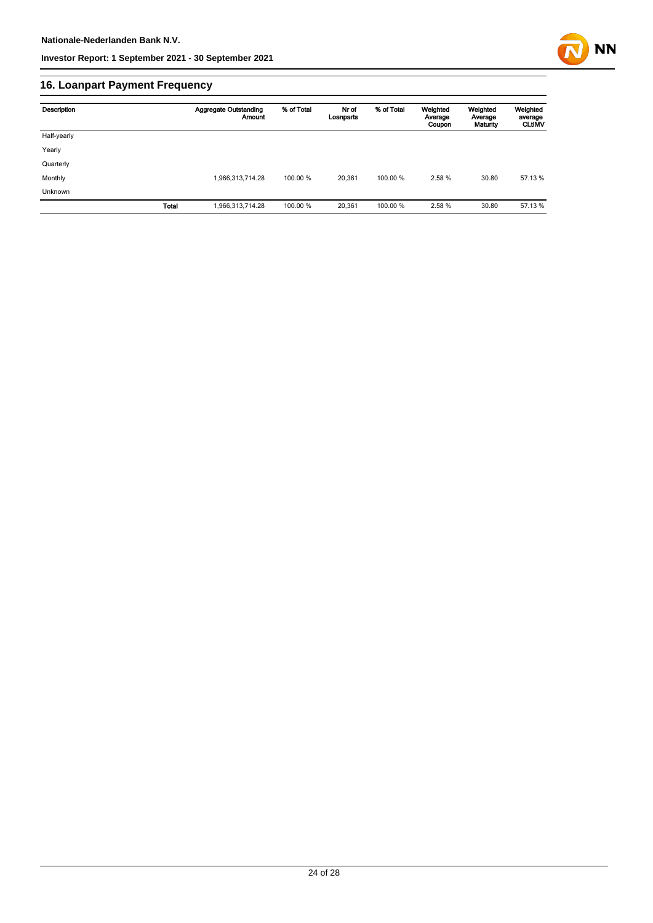

# **16. Loanpart Payment Frequency**

| Description  | <b>Aggregate Outstanding</b><br><b>Amount</b> | % of Total | Nr of<br>Loanparts | % of Total | Weighted<br>Average<br>Coupon | Weighted<br>Average<br>Maturity | Weighted<br>average<br><b>CLUMV</b> |
|--------------|-----------------------------------------------|------------|--------------------|------------|-------------------------------|---------------------------------|-------------------------------------|
| Half-yearly  |                                               |            |                    |            |                               |                                 |                                     |
| Yearly       |                                               |            |                    |            |                               |                                 |                                     |
| Quarterly    |                                               |            |                    |            |                               |                                 |                                     |
| Monthly      | 1,966,313,714.28                              | 100.00 %   | 20,361             | 100.00 %   | 2.58%                         | 30.80                           | 57.13 %                             |
| Unknown      |                                               |            |                    |            |                               |                                 |                                     |
| <b>Total</b> | 1,966,313,714.28                              | 100.00 %   | 20,361             | 100.00%    | 2.58%                         | 30.80                           | 57.13 %                             |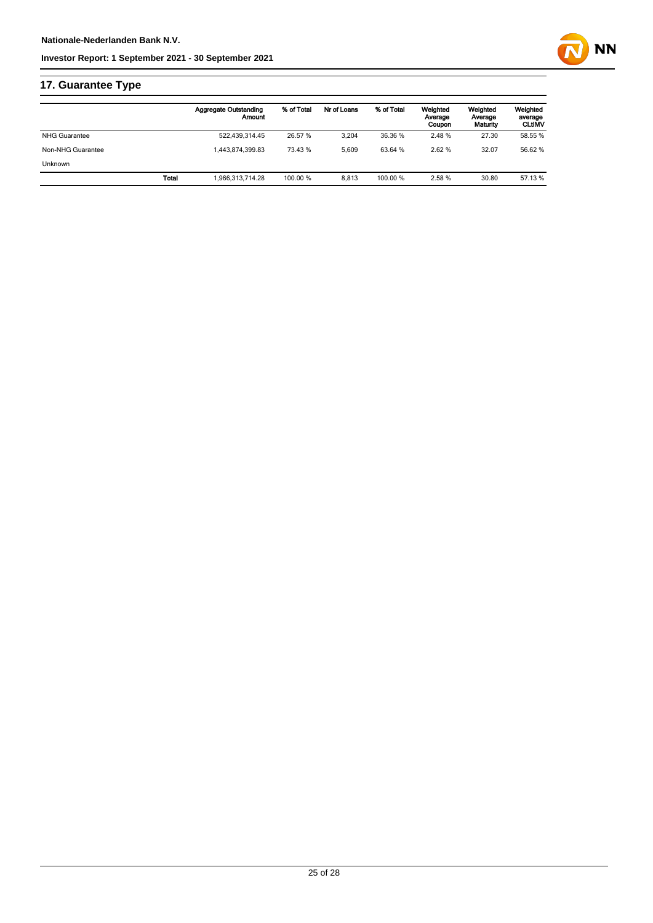# **17. Guarantee Type**

|                      |       | Aggregate Outstanding<br>Amount | % of Total | Nr of Loans | % of Total | Weighted<br>Average<br>Coupon | Weighted<br>Average<br>Maturity | Weighted<br>average<br><b>CLtIMV</b> |
|----------------------|-------|---------------------------------|------------|-------------|------------|-------------------------------|---------------------------------|--------------------------------------|
| <b>NHG Guarantee</b> |       | 522,439,314.45                  | 26.57 %    | 3.204       | 36.36 %    | 2.48%                         | 27.30                           | 58.55 %                              |
| Non-NHG Guarantee    |       | 1.443.874.399.83                | 73.43 %    | 5.609       | 63.64 %    | 2.62%                         | 32.07                           | 56.62 %                              |
| <b>Unknown</b>       |       |                                 |            |             |            |                               |                                 |                                      |
|                      | Total | 1.966.313.714.28                | 100.00 %   | 8.813       | 100.00 %   | 2.58 %                        | 30.80                           | 57.13 %                              |
|                      |       |                                 |            |             |            |                               |                                 |                                      |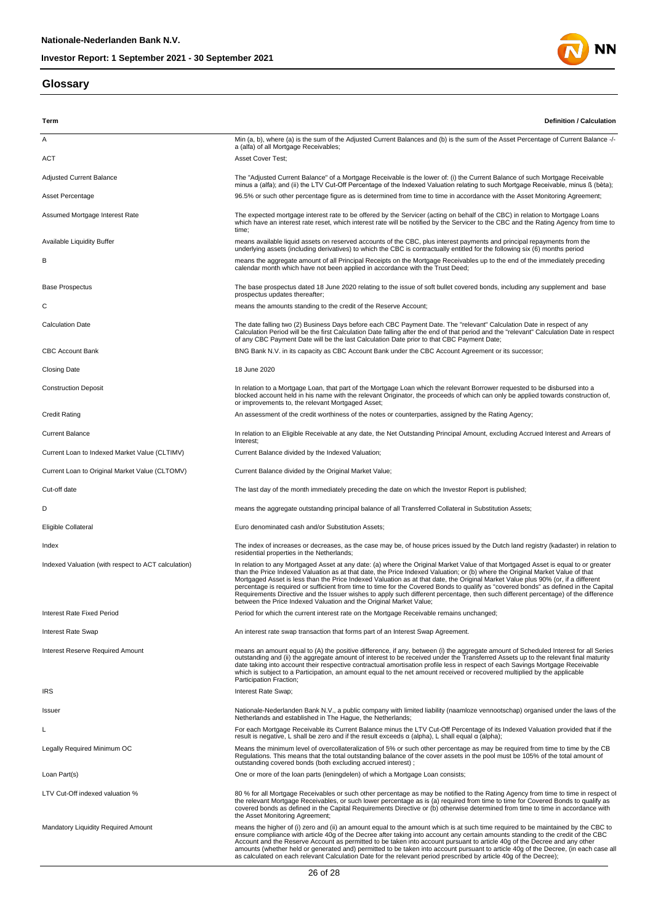## **Glossary**



| Term                                                | <b>Definition / Calculation</b>                                                                                                                                                                                                                                                                                                                                                                                                                                                                                                                                                                                                                                                                                                                             |
|-----------------------------------------------------|-------------------------------------------------------------------------------------------------------------------------------------------------------------------------------------------------------------------------------------------------------------------------------------------------------------------------------------------------------------------------------------------------------------------------------------------------------------------------------------------------------------------------------------------------------------------------------------------------------------------------------------------------------------------------------------------------------------------------------------------------------------|
| Α                                                   | Min (a, b), where (a) is the sum of the Adjusted Current Balances and (b) is the sum of the Asset Percentage of Current Balance -/-<br>a (alfa) of all Mortgage Receivables;                                                                                                                                                                                                                                                                                                                                                                                                                                                                                                                                                                                |
| <b>ACT</b>                                          | Asset Cover Test;                                                                                                                                                                                                                                                                                                                                                                                                                                                                                                                                                                                                                                                                                                                                           |
| <b>Adjusted Current Balance</b>                     | The "Adjusted Current Balance" of a Mortgage Receivable is the lower of: (i) the Current Balance of such Mortgage Receivable<br>minus a (alfa); and (ii) the LTV Cut-Off Percentage of the Indexed Valuation relating to such Mortgage Receivable, minus ß (bèta);                                                                                                                                                                                                                                                                                                                                                                                                                                                                                          |
| Asset Percentage                                    | 96.5% or such other percentage figure as is determined from time to time in accordance with the Asset Monitoring Agreement;                                                                                                                                                                                                                                                                                                                                                                                                                                                                                                                                                                                                                                 |
| Assumed Mortgage Interest Rate                      | The expected mortgage interest rate to be offered by the Servicer (acting on behalf of the CBC) in relation to Mortgage Loans<br>which have an interest rate reset, which interest rate will be notified by the Servicer to the CBC and the Rating Agency from time to<br>time;                                                                                                                                                                                                                                                                                                                                                                                                                                                                             |
| <b>Available Liquidity Buffer</b>                   | means available liquid assets on reserved accounts of the CBC, plus interest payments and principal repayments from the<br>underlying assets (including derivatives) to which the CBC is contractually entitled for the following six (6) months period                                                                                                                                                                                                                                                                                                                                                                                                                                                                                                     |
| в                                                   | means the aggregate amount of all Principal Receipts on the Mortgage Receivables up to the end of the immediately preceding<br>calendar month which have not been applied in accordance with the Trust Deed;                                                                                                                                                                                                                                                                                                                                                                                                                                                                                                                                                |
| <b>Base Prospectus</b>                              | The base prospectus dated 18 June 2020 relating to the issue of soft bullet covered bonds, including any supplement and base<br>prospectus updates thereafter;                                                                                                                                                                                                                                                                                                                                                                                                                                                                                                                                                                                              |
| С                                                   | means the amounts standing to the credit of the Reserve Account;                                                                                                                                                                                                                                                                                                                                                                                                                                                                                                                                                                                                                                                                                            |
| <b>Calculation Date</b>                             | The date falling two (2) Business Days before each CBC Payment Date. The "relevant" Calculation Date in respect of any<br>Calculation Period will be the first Calculation Date falling after the end of that period and the "relevant" Calculation Date in respect<br>of any CBC Payment Date will be the last Calculation Date prior to that CBC Payment Date;                                                                                                                                                                                                                                                                                                                                                                                            |
| <b>CBC Account Bank</b>                             | BNG Bank N.V. in its capacity as CBC Account Bank under the CBC Account Agreement or its successor;                                                                                                                                                                                                                                                                                                                                                                                                                                                                                                                                                                                                                                                         |
| <b>Closing Date</b>                                 | 18 June 2020                                                                                                                                                                                                                                                                                                                                                                                                                                                                                                                                                                                                                                                                                                                                                |
| <b>Construction Deposit</b>                         | In relation to a Mortgage Loan, that part of the Mortgage Loan which the relevant Borrower requested to be disbursed into a<br>blocked account held in his name with the relevant Originator, the proceeds of which can only be applied towards construction of,<br>or improvements to, the relevant Mortgaged Asset;                                                                                                                                                                                                                                                                                                                                                                                                                                       |
| <b>Credit Rating</b>                                | An assessment of the credit worthiness of the notes or counterparties, assigned by the Rating Agency;                                                                                                                                                                                                                                                                                                                                                                                                                                                                                                                                                                                                                                                       |
| <b>Current Balance</b>                              | In relation to an Eligible Receivable at any date, the Net Outstanding Principal Amount, excluding Accrued Interest and Arrears of<br>Interest;                                                                                                                                                                                                                                                                                                                                                                                                                                                                                                                                                                                                             |
| Current Loan to Indexed Market Value (CLTIMV)       | Current Balance divided by the Indexed Valuation;                                                                                                                                                                                                                                                                                                                                                                                                                                                                                                                                                                                                                                                                                                           |
| Current Loan to Original Market Value (CLTOMV)      | Current Balance divided by the Original Market Value;                                                                                                                                                                                                                                                                                                                                                                                                                                                                                                                                                                                                                                                                                                       |
| Cut-off date                                        | The last day of the month immediately preceding the date on which the Investor Report is published;                                                                                                                                                                                                                                                                                                                                                                                                                                                                                                                                                                                                                                                         |
| D                                                   | means the aggregate outstanding principal balance of all Transferred Collateral in Substitution Assets;                                                                                                                                                                                                                                                                                                                                                                                                                                                                                                                                                                                                                                                     |
| Eligible Collateral                                 | Euro denominated cash and/or Substitution Assets;                                                                                                                                                                                                                                                                                                                                                                                                                                                                                                                                                                                                                                                                                                           |
| Index                                               | The index of increases or decreases, as the case may be, of house prices issued by the Dutch land registry (kadaster) in relation to<br>residential properties in the Netherlands;                                                                                                                                                                                                                                                                                                                                                                                                                                                                                                                                                                          |
| Indexed Valuation (with respect to ACT calculation) | In relation to any Mortgaged Asset at any date: (a) where the Original Market Value of that Mortgaged Asset is equal to or greater<br>than the Price Indexed Valuation as at that date, the Price Indexed Valuation; or (b) where the Original Market Value of that<br>Mortgaged Asset is less than the Price Indexed Valuation as at that date, the Original Market Value plus 90% (or, if a different<br>percentage is required or sufficient from time to time for the Covered Bonds to qualify as "covered bonds" as defined in the Capital<br>Requirements Directive and the Issuer wishes to apply such different percentage, then such different percentage) of the difference<br>between the Price Indexed Valuation and the Original Market Value; |
| Interest Rate Fixed Period                          | Period for which the current interest rate on the Mortgage Receivable remains unchanged;                                                                                                                                                                                                                                                                                                                                                                                                                                                                                                                                                                                                                                                                    |
| Interest Rate Swap                                  | An interest rate swap transaction that forms part of an Interest Swap Agreement.                                                                                                                                                                                                                                                                                                                                                                                                                                                                                                                                                                                                                                                                            |
| <b>Interest Reserve Required Amount</b>             | means an amount equal to (A) the positive difference, if any, between (i) the aggregate amount of Scheduled Interest for all Series<br>outstanding and (ii) the aggregate amount of interest to be received under the Transferred Assets up to the relevant final maturity<br>date taking into account their respective contractual amortisation profile less in respect of each Savings Mortgage Receivable<br>which is subject to a Participation, an amount equal to the net amount received or recovered multiplied by the applicable<br>Participation Fraction;                                                                                                                                                                                        |
| <b>IRS</b>                                          | Interest Rate Swap;                                                                                                                                                                                                                                                                                                                                                                                                                                                                                                                                                                                                                                                                                                                                         |
| Issuer                                              | Nationale-Nederlanden Bank N.V., a public company with limited liability (naamloze vennootschap) organised under the laws of the<br>Netherlands and established in The Haque, the Netherlands;                                                                                                                                                                                                                                                                                                                                                                                                                                                                                                                                                              |
| L                                                   | For each Mortgage Receivable its Current Balance minus the LTV Cut-Off Percentage of its Indexed Valuation provided that if the                                                                                                                                                                                                                                                                                                                                                                                                                                                                                                                                                                                                                             |
| Legally Required Minimum OC                         | result is negative, L shall be zero and if the result exceeds $\alpha$ (alpha), L shall equal $\alpha$ (alpha);<br>Means the minimum level of overcollateralization of 5% or such other percentage as may be required from time to time by the CB<br>Regulations. This means that the total outstanding balance of the cover assets in the pool must be 105% of the total amount of                                                                                                                                                                                                                                                                                                                                                                         |
| Loan Part(s)                                        | outstanding covered bonds (both excluding accrued interest);<br>One or more of the loan parts (leningdelen) of which a Mortgage Loan consists;                                                                                                                                                                                                                                                                                                                                                                                                                                                                                                                                                                                                              |
| LTV Cut-Off indexed valuation %                     | 80 % for all Mortgage Receivables or such other percentage as may be notified to the Rating Agency from time to time in respect of<br>the relevant Mortgage Receivables, or such lower percentage as is (a) required from time to time for Covered Bonds to qualify as<br>covered bonds as defined in the Capital Requirements Directive or (b) otherwise determined from time to time in accordance with<br>the Asset Monitoring Agreement;                                                                                                                                                                                                                                                                                                                |
| <b>Mandatory Liquidity Required Amount</b>          | means the higher of (i) zero and (ii) an amount equal to the amount which is at such time required to be maintained by the CBC to<br>ensure compliance with article 40g of the Decree after taking into account any certain amounts standing to the credit of the CBC<br>Account and the Reserve Account as permitted to be taken into account pursuant to article 40g of the Decree and any other<br>amounts (whether held or generated and) permitted to be taken into account pursuant to article 40g of the Decree, (in each case all<br>as calculated on each relevant Calculation Date for the relevant period prescribed by article 40g of the Decree);                                                                                              |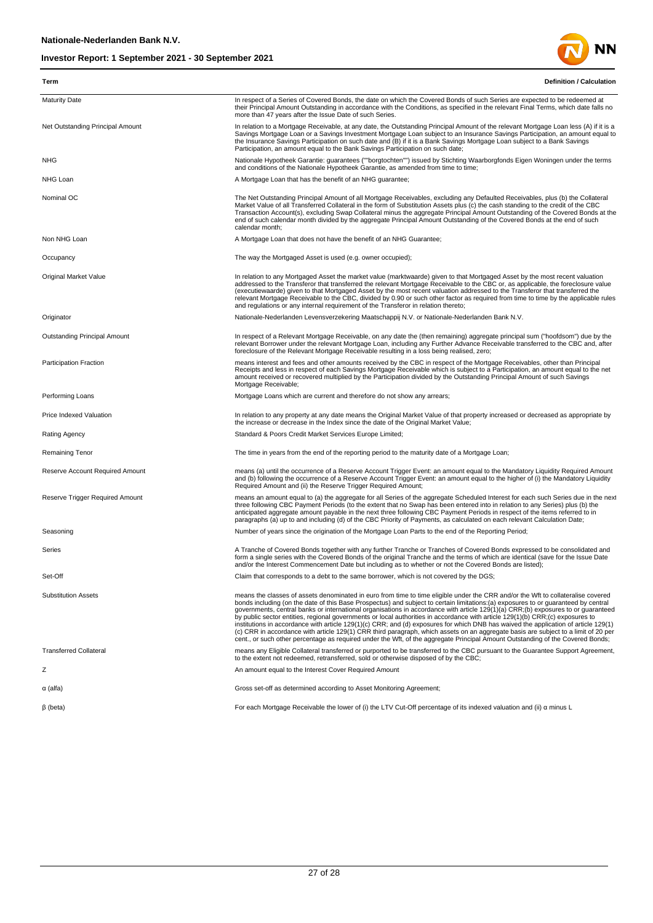

**Term Definition / Calculation**

| <b>Maturity Date</b>                | In respect of a Series of Covered Bonds, the date on which the Covered Bonds of such Series are expected to be redeemed at<br>their Principal Amount Outstanding in accordance with the Conditions, as specified in the relevant Final Terms, which date falls no<br>more than 47 years after the Issue Date of such Series.                                                                                                                                                                                                                                                                                                                                                                                                                                                                                                                                                                                                                                 |
|-------------------------------------|--------------------------------------------------------------------------------------------------------------------------------------------------------------------------------------------------------------------------------------------------------------------------------------------------------------------------------------------------------------------------------------------------------------------------------------------------------------------------------------------------------------------------------------------------------------------------------------------------------------------------------------------------------------------------------------------------------------------------------------------------------------------------------------------------------------------------------------------------------------------------------------------------------------------------------------------------------------|
| Net Outstanding Principal Amount    | In relation to a Mortgage Receivable, at any date, the Outstanding Principal Amount of the relevant Mortgage Loan less (A) if it is a<br>Savings Mortgage Loan or a Savings Investment Mortgage Loan subject to an Insurance Savings Participation, an amount equal to<br>the Insurance Savings Participation on such date and (B) if it is a Bank Savings Mortgage Loan subject to a Bank Savings<br>Participation, an amount equal to the Bank Savings Participation on such date;                                                                                                                                                                                                                                                                                                                                                                                                                                                                         |
| NHG                                 | Nationale Hypotheek Garantie: guarantees (""borgtochten"") issued by Stichting Waarborgfonds Eigen Woningen under the terms<br>and conditions of the Nationale Hypotheek Garantie, as amended from time to time;                                                                                                                                                                                                                                                                                                                                                                                                                                                                                                                                                                                                                                                                                                                                             |
| NHG Loan                            | A Mortgage Loan that has the benefit of an NHG guarantee;                                                                                                                                                                                                                                                                                                                                                                                                                                                                                                                                                                                                                                                                                                                                                                                                                                                                                                    |
| Nominal OC                          | The Net Outstanding Principal Amount of all Mortgage Receivables, excluding any Defaulted Receivables, plus (b) the Collateral<br>Market Value of all Transferred Collateral in the form of Substitution Assets plus (c) the cash standing to the credit of the CBC<br>Transaction Account(s), excluding Swap Collateral minus the aggregate Principal Amount Outstanding of the Covered Bonds at the<br>end of such calendar month divided by the aggregate Principal Amount Outstanding of the Covered Bonds at the end of such<br>calendar month:                                                                                                                                                                                                                                                                                                                                                                                                         |
| Non NHG Loan                        | A Mortgage Loan that does not have the benefit of an NHG Guarantee;                                                                                                                                                                                                                                                                                                                                                                                                                                                                                                                                                                                                                                                                                                                                                                                                                                                                                          |
| Occupancy                           | The way the Mortgaged Asset is used (e.g. owner occupied);                                                                                                                                                                                                                                                                                                                                                                                                                                                                                                                                                                                                                                                                                                                                                                                                                                                                                                   |
| Original Market Value               | In relation to any Mortgaged Asset the market value (marktwaarde) given to that Mortgaged Asset by the most recent valuation<br>addressed to the Transferor that transferred the relevant Mortgage Receivable to the CBC or, as applicable, the foreclosure value<br>(executiewaarde) given to that Mortgaged Asset by the most recent valuation addressed to the Transferor that transferred the<br>relevant Mortgage Receivable to the CBC, divided by 0.90 or such other factor as required from time to time by the applicable rules<br>and regulations or any internal requirement of the Transferor in relation thereto;                                                                                                                                                                                                                                                                                                                               |
| Originator                          | Nationale-Nederlanden Levensverzekering Maatschappij N.V. or Nationale-Nederlanden Bank N.V.                                                                                                                                                                                                                                                                                                                                                                                                                                                                                                                                                                                                                                                                                                                                                                                                                                                                 |
| <b>Outstanding Principal Amount</b> | In respect of a Relevant Mortgage Receivable, on any date the (then remaining) aggregate principal sum ("hoofdsom") due by the<br>relevant Borrower under the relevant Mortgage Loan, including any Further Advance Receivable transferred to the CBC and, after<br>foreclosure of the Relevant Mortgage Receivable resulting in a loss being realised, zero;                                                                                                                                                                                                                                                                                                                                                                                                                                                                                                                                                                                                |
| <b>Participation Fraction</b>       | means interest and fees and other amounts received by the CBC in respect of the Mortgage Receivables, other than Principal<br>Receipts and less in respect of each Savings Mortgage Receivable which is subject to a Participation, an amount equal to the net<br>amount received or recovered multiplied by the Participation divided by the Outstanding Principal Amount of such Savings<br>Mortgage Receivable;                                                                                                                                                                                                                                                                                                                                                                                                                                                                                                                                           |
| Performing Loans                    | Mortgage Loans which are current and therefore do not show any arrears;                                                                                                                                                                                                                                                                                                                                                                                                                                                                                                                                                                                                                                                                                                                                                                                                                                                                                      |
| Price Indexed Valuation             | In relation to any property at any date means the Original Market Value of that property increased or decreased as appropriate by<br>the increase or decrease in the Index since the date of the Original Market Value;                                                                                                                                                                                                                                                                                                                                                                                                                                                                                                                                                                                                                                                                                                                                      |
| Rating Agency                       | Standard & Poors Credit Market Services Europe Limited;                                                                                                                                                                                                                                                                                                                                                                                                                                                                                                                                                                                                                                                                                                                                                                                                                                                                                                      |
| <b>Remaining Tenor</b>              | The time in years from the end of the reporting period to the maturity date of a Mortgage Loan;                                                                                                                                                                                                                                                                                                                                                                                                                                                                                                                                                                                                                                                                                                                                                                                                                                                              |
| Reserve Account Required Amount     | means (a) until the occurrence of a Reserve Account Trigger Event: an amount equal to the Mandatory Liquidity Required Amount<br>and (b) following the occurrence of a Reserve Account Trigger Event: an amount equal to the higher of (i) the Mandatory Liquidity<br>Required Amount and (ii) the Reserve Trigger Required Amount;                                                                                                                                                                                                                                                                                                                                                                                                                                                                                                                                                                                                                          |
| Reserve Trigger Required Amount     | means an amount equal to (a) the aggregate for all Series of the aggregate Scheduled Interest for each such Series due in the next<br>three following CBC Payment Periods (to the extent that no Swap has been entered into in relation to any Series) plus (b) the<br>anticipated aggregate amount payable in the next three following CBC Payment Periods in respect of the items referred to in<br>paragraphs (a) up to and including (d) of the CBC Priority of Payments, as calculated on each relevant Calculation Date;                                                                                                                                                                                                                                                                                                                                                                                                                               |
| Seasoning                           | Number of years since the origination of the Mortgage Loan Parts to the end of the Reporting Period;                                                                                                                                                                                                                                                                                                                                                                                                                                                                                                                                                                                                                                                                                                                                                                                                                                                         |
| Series                              | A Tranche of Covered Bonds together with any further Tranche or Tranches of Covered Bonds expressed to be consolidated and<br>form a single series with the Covered Bonds of the original Tranche and the terms of which are identical (save for the Issue Date<br>and/or the Interest Commencement Date but including as to whether or not the Covered Bonds are listed);                                                                                                                                                                                                                                                                                                                                                                                                                                                                                                                                                                                   |
| Set-Off                             | Claim that corresponds to a debt to the same borrower, which is not covered by the DGS;                                                                                                                                                                                                                                                                                                                                                                                                                                                                                                                                                                                                                                                                                                                                                                                                                                                                      |
| <b>Substitution Assets</b>          | means the classes of assets denominated in euro from time to time eligible under the CRR and/or the Wft to collateralise covered<br>bonds including (on the date of this Base Prospectus) and subject to certain limitations:(a) exposures to or quaranteed by central<br>governments, central banks or international organisations in accordance with article 129(1)(a) CRR;(b) exposures to or guaranteed<br>by public sector entities, regional governments or local authorities in accordance with article 129(1)(b) CRR:(c) exposures to<br>institutions in accordance with article 129(1)(c) CRR; and (d) exposures for which DNB has waived the application of article 129(1)<br>(c) CRR in accordance with article 129(1) CRR third paragraph, which assets on an aggregate basis are subject to a limit of 20 per<br>cent., or such other percentage as required under the Wft, of the aggregate Principal Amount Outstanding of the Covered Bonds; |
| <b>Transferred Collateral</b>       | means any Eligible Collateral transferred or purported to be transferred to the CBC pursuant to the Guarantee Support Agreement,<br>to the extent not redeemed, retransferred, sold or otherwise disposed of by the CBC;                                                                                                                                                                                                                                                                                                                                                                                                                                                                                                                                                                                                                                                                                                                                     |
| Ζ                                   | An amount equal to the Interest Cover Required Amount                                                                                                                                                                                                                                                                                                                                                                                                                                                                                                                                                                                                                                                                                                                                                                                                                                                                                                        |
| α (alfa)                            | Gross set-off as determined according to Asset Monitoring Agreement;                                                                                                                                                                                                                                                                                                                                                                                                                                                                                                                                                                                                                                                                                                                                                                                                                                                                                         |
| $\beta$ (beta)                      | For each Mortgage Receivable the lower of (i) the LTV Cut-Off percentage of its indexed valuation and (ii) a minus L                                                                                                                                                                                                                                                                                                                                                                                                                                                                                                                                                                                                                                                                                                                                                                                                                                         |